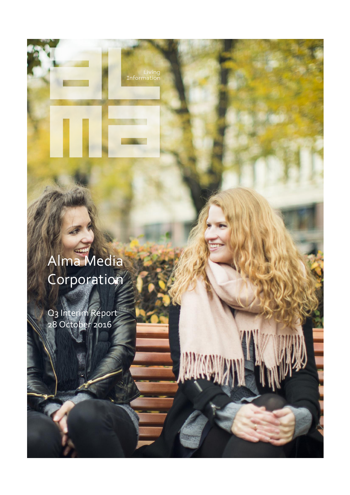Living<br>Informatior

MW

# Alma Media Corporation

Q3 Interim Report 28 October 2016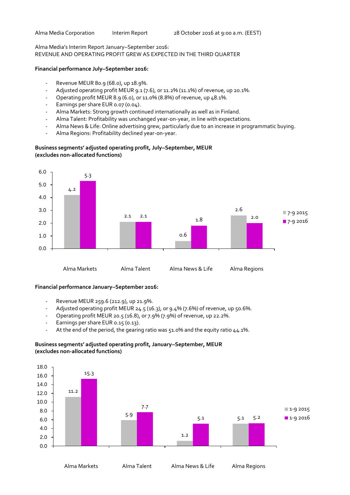7-9 2015 **7**-9 2016

Alma Media's Interim Report January–September 2016:

REVENUE AND OPERATING PROFIT GREW AS EXPECTED IN THE THIRD QUARTER

#### **Financial performance July–September 2016:**

- Revenue MEUR 80.9 (68.0), up 18.9%.
- Adjusted operating profit MEUR 9.1 (7.6), or 11.2% (11.1%) of revenue, up 20.1%.
- Operating profit MEUR 8.9 (6.0), or 11.0% (8.8%) of revenue, up 48.1%.
- Earnings per share EUR 0.07 (0.04).
- Alma Markets: Strong growth continued internationally as well as in Finland.
- Alma Talent: Profitability was unchanged year-on-year, in line with expectations.
- Alma News & Life: Online advertising grew, particularly due to an increase in programmatic buying.

0.6

Alma Regions: Profitability declined year-on-year.



# **Business segments' adjusted operating profit, July–September, MEUR (excludes non-allocated functions)**

Alma Markets Alma Talent Alma News & Life Alma Regions

## **Financial performance January–September 2016:**

0.0

1.0

- Revenue MEUR 259.6 (212.9), up 21.9%.
- Adjusted operating profit MEUR 24.5 (16.3), or 9.4% (7.6%) of revenue, up 50.6%.
- Operating profit MEUR 20.5 (16.8), or 7.9% (7.9%) of revenue, up 22.2%.
- Earnings per share EUR 0.15 (0.13).
- At the end of the period, the gearing ratio was 51.0% and the equity ratio 44.1%.

# **Business segments' adjusted operating profit, January–September, MEUR (excludes non-allocated functions)**

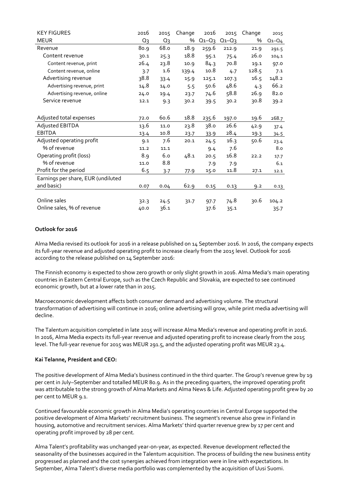| <b>KEY FIGURES</b>                 | 2016  | 2015  | Change | 2016        | 2015        | Change | 2015        |
|------------------------------------|-------|-------|--------|-------------|-------------|--------|-------------|
| <b>MEUR</b>                        | $Q_3$ | $Q_3$ | %      | $Q_1 - Q_3$ | $Q_1 - Q_3$ | %      | $Q_1 - Q_4$ |
| Revenue                            | 80.9  | 68.o  | 18.9   | 259.6       | 212.9       | 21.9   | 291.5       |
| Content revenue                    | 30.1  | 25.3  | 18.8   | 95.1        | 75.4        | 26.0   | 104.1       |
| Content revenue, print             | 26.4  | 23.8  | 10.9   | 84.3        | 70.8        | 19.1   | 97.0        |
| Content revenue, online            | 3.7   | 1.6   | 139.4  | 10.8        | 4.7         | 128.5  | 7.1         |
| Advertising revenue                | 38.8  | 33.4  | 15.9   | 125.1       | 107.3       | 16.5   | 148.2       |
| Advertising revenue, print         | 14.8  | 14.0  | 5.5    | 50.6        | 48.6        | 4.3    | 66.2        |
| Advertising revenue, online        | 24.0  | 19.4  | 23.7   | 74.6        | 58.8        | 26.9   | 82.0        |
| Service revenue                    | 12.1  | 9.3   | 30.2   | 39.5        | 30.2        | 30.8   | 39.2        |
|                                    |       |       |        |             |             |        |             |
| Adjusted total expenses            | 72.0  | 60.6  | 18.8   | 235.6       | 197.0       | 19.6   | 268.7       |
| Adjusted EBITDA                    | 13.6  | 11.0  | 23.8   | 38.0        | 26.6        | 42.9   | 37.4        |
| <b>EBITDA</b>                      | 13.4  | 10.8  | 23.7   | 33.9        | 28.4        | 19.3   | 34.5        |
| Adjusted operating profit          | 9.1   | 7.6   | 20.1   | 24.5        | 16.3        | 50.6   | 23.4        |
| % of revenue                       | 11.2  | 11.1  |        | 9.4         | 7.6         |        | 8.0         |
| Operating profit (loss)            | 8.9   | 6.0   | 48.1   | 20.5        | 16.8        | 22.2   | 17.7        |
| % of revenue                       | 11.0  | 8.8   |        | 7.9         | 7.9         |        | 6.1         |
| Profit for the period              | 6.5   | 3.7   | 77.9   | 15.0        | 11.8        | 27.1   | 12.1        |
| Earnings per share, EUR (undiluted |       |       |        |             |             |        |             |
| and basic)                         | 0.07  | 0.04  | 62.9   | 0.15        | 0.13        | 9.2    | 0.13        |
|                                    |       |       |        |             |             |        |             |
| Online sales                       | 32.3  | 24.5  | 31.7   | 97.7        | 74.8        | 30.6   | 104.2       |
| Online sales, % of revenue         | 40.0  | 36.1  |        | 37.6        | 35.1        |        | 35.7        |

## **Outlook for 2016**

Alma Media revised its outlook for 2016 in a release published on 14 September 2016. In 2016, the company expects its full-year revenue and adjusted operating profit to increase clearly from the 2015 level. Outlook for 2016 according to the release published on 14 September 2016:

The Finnish economy is expected to show zero growth or only slight growth in 2016. Alma Media's main operating countries in Eastern Central Europe, such as the Czech Republic and Slovakia, are expected to see continued economic growth, but at a lower rate than in 2015.

Macroeconomic development affects both consumer demand and advertising volume. The structural transformation of advertising will continue in 2016; online advertising will grow, while print media advertising will decline.

The Talentum acquisition completed in late 2015 will increase Alma Media's revenue and operating profit in 2016. In 2016, Alma Media expects its full-year revenue and adjusted operating profit to increase clearly from the 2015 level. The full-year revenue for 2015 was MEUR 291.5, and the adjusted operating profit was MEUR 23.4.

# **Kai Telanne, President and CEO:**

The positive development of Alma Media's business continued in the third quarter. The Group's revenue grew by 19 per cent in July–September and totalled MEUR 80.9. As in the preceding quarters, the improved operating profit was attributable to the strong growth of Alma Markets and Alma News & Life. Adjusted operating profit grew by 20 per cent to MEUR 9.1.

Continued favourable economic growth in Alma Media's operating countries in Central Europe supported the positive development of Alma Markets' recruitment business. The segment's revenue also grew in Finland in housing, automotive and recruitment services. Alma Markets' third quarter revenue grew by 17 per cent and operating profit improved by 28 per cent.

Alma Talent's profitability was unchanged year-on-year, as expected. Revenue development reflected the seasonality of the businesses acquired in the Talentum acquisition. The process of building the new business entity progressed as planned and the cost synergies achieved from integration were in line with expectations. In September, Alma Talent's diverse media portfolio was complemented by the acquisition of Uusi Suomi.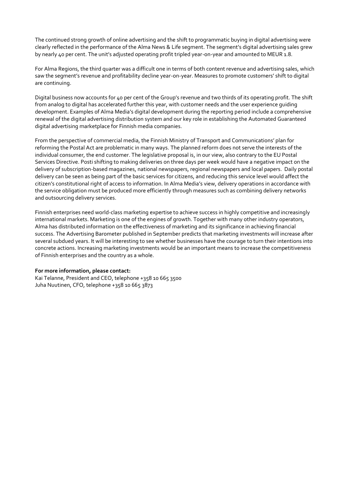The continued strong growth of online advertising and the shift to programmatic buying in digital advertising were clearly reflected in the performance of the Alma News & Life segment. The segment's digital advertising sales grew by nearly 40 per cent. The unit's adjusted operating profit tripled year-on-year and amounted to MEUR 1.8.

For Alma Regions, the third quarter was a difficult one in terms of both content revenue and advertising sales, which saw the segment's revenue and profitability decline year-on-year. Measures to promote customers' shift to digital are continuing.

Digital business now accounts for 40 per cent of the Group's revenue and two thirds of its operating profit. The shift from analog to digital has accelerated further this year, with customer needs and the user experience guiding development. Examples of Alma Media's digital development during the reporting period include a comprehensive renewal of the digital advertising distribution system and our key role in establishing the Automated Guaranteed digital advertising marketplace for Finnish media companies.

From the perspective of commercial media, the Finnish Ministry of Transport and Communications' plan for reforming the Postal Act are problematic in many ways. The planned reform does not serve the interests of the individual consumer, the end customer. The legislative proposal is, in our view, also contrary to the EU Postal Services Directive. Posti shifting to making deliveries on three days per week would have a negative impact on the delivery of subscription-based magazines, national newspapers, regional newspapers and local papers. Daily postal delivery can be seen as being part of the basic services for citizens, and reducing this service level would affect the citizen's constitutional right of access to information. In Alma Media's view, delivery operations in accordance with the service obligation must be produced more efficiently through measures such as combining delivery networks and outsourcing delivery services.

Finnish enterprises need world-class marketing expertise to achieve success in highly competitive and increasingly international markets. Marketing is one of the engines of growth. Together with many other industry operators, Alma has distributed information on the effectiveness of marketing and its significance in achieving financial success. The Advertising Barometer published in September predicts that marketing investments will increase after several subdued years. It will be interesting to see whether businesses have the courage to turn their intentions into concrete actions. Increasing marketing investments would be an important means to increase the competitiveness of Finnish enterprises and the country as a whole.

#### **For more information, please contact:**

Kai Telanne, President and CEO, telephone +358 10 665 3500 Juha Nuutinen, CFO, telephone +358 10 665 3873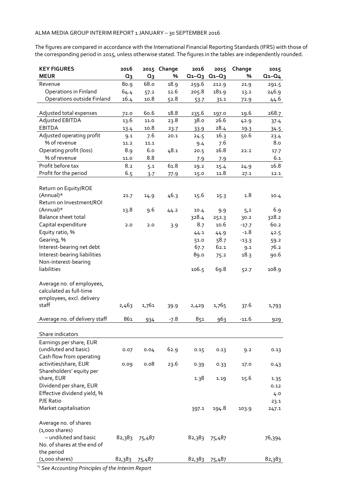The figures are compared in accordance with the International Financial Reporting Standards (IFRS) with those of the corresponding period in 2015, unless otherwise stated. The figures in the tables are independently rounded.

| <b>KEY FIGURES</b><br><b>MEUR</b>                                                          | 2016<br>Q <sub>3</sub> | 2015<br>$Q_3$ | Change<br>% | 2016<br>$Q_1 - Q_3$ | 2015<br>$Q_1 - Q_3$ | Change<br>% | 2015<br>$Q_1 - Q_4$ |
|--------------------------------------------------------------------------------------------|------------------------|---------------|-------------|---------------------|---------------------|-------------|---------------------|
| Revenue                                                                                    | 80.9                   | 68.o          | 18.9        | 259.6               | 212.9               | 21.9        | 291.5               |
| Operations in Finland                                                                      | 64.4                   | 57.2          | 12.6        | 205.8               | 181.9               | 13.2        | 246.9               |
| Operations outside Finland                                                                 | 16.4                   | 10.8          | 52.8        | 53.7                | 31.1                | 72.9        | 44.6                |
|                                                                                            |                        |               |             |                     |                     |             |                     |
| Adjusted total expenses                                                                    | 72.0                   | 60.6          | 18.8        | 235.6               | 197.0               | 19.6        | 268.7               |
| Adjusted EBITDA                                                                            | 13.6                   | 11.0          | 23.8        | 38.0                | 26.6                | 42.9        | 37.4                |
| <b>EBITDA</b>                                                                              | 13.4                   | 10.8          | 23.7        | 33.9                | 28.4                | 19.3        | 34.5                |
| Adjusted operating profit                                                                  | 9.1                    | 7.6           | 20.1        | 24.5                | 16.3                | 50.6        | 23.4                |
| % of revenue                                                                               | 11.2                   | 11.1          |             | 9.4                 | 7.6                 |             | 8.0                 |
| Operating profit (loss)                                                                    | 8.9                    | 6.0           | 48.1        | 20.5                | 16.8                | 22.2        | 17.7                |
| % of revenue                                                                               | 11.0                   | 8.8           |             | 7.9                 | 7.9                 |             | 6.1                 |
| Profit before tax                                                                          | 8.2                    | 5.1           | 61.8        | 19.2                | 15.4                | 24.9        | 16.8                |
| Profit for the period                                                                      | 6.5                    | 3.7           | 77.9        | 15.0                | 11.8                | 27.1        | 12.1                |
| Return on Equity/ROE<br>(Annual)*<br>Return on Investment/ROI                              | 21.7                   | 14.9          | 46.3        | 15.6                | 15.3                | 1.8         | 10.4                |
| (Annual)*                                                                                  | 13.8                   | 9.6           | 44.2        | 10.4                | 9.9                 | 5,2         | 6.9                 |
| Balance sheet total                                                                        |                        |               |             | 328.4               | 252.3               | 30.2        | 328.2               |
| Capital expenditure                                                                        | 2.0                    | 2.0           | 3.9         | 8.7                 | 10.6                | $-17.7$     | 60.2                |
| Equity ratio, %                                                                            |                        |               |             | 44.1                | 44.9                | $-1.8$      | 42.5                |
| Gearing, %                                                                                 |                        |               |             | 51.0                | 58.7                | $-13.3$     | 59.2                |
| Interest-bearing net debt                                                                  |                        |               |             | 67.7                | 62.1                |             | 76.2                |
| Interest-bearing liabilities                                                               |                        |               |             | 89.0                |                     | 9.1<br>18.3 | 90.6                |
| Non-interest-bearing                                                                       |                        |               |             |                     | 75.2                |             |                     |
| liabilities                                                                                |                        |               |             | 106.5               | 69.8                | 52.7        | 108.9               |
| Average no. of employees,<br>calculated as full-time<br>employees, excl. delivery<br>staff | 2,463                  | 1,761         | 39.9        | 2,429               | 1,765               | 37.6        | 1,793               |
| Average no. of delivery staff                                                              | 861                    | 934           | $-7.8$      | 851                 | 963                 | -11.6       | 929                 |
|                                                                                            |                        |               |             |                     |                     |             |                     |
| Share indicators                                                                           |                        |               |             |                     |                     |             |                     |
| Earnings per share, EUR<br>(undiluted and basic)<br>Cash flow from operating               | 0.07                   | 0.04          | 62.9        | 0.15                | 0.13                | 9.2         | 0.13                |
| activities/share, EUR<br>Shareholders' equity per                                          | 0.09                   | 0.08          | 23.6        | 0.39                | 0.33                | 17.0        | 0.43                |
| share, EUR<br>Dividend per share, EUR                                                      |                        |               |             | 1.38                | 1.19                | 15.6        | 1.35<br>0.12        |
| Effective dividend yield, %<br>P/E Ratio                                                   |                        |               |             |                     |                     |             | 4.0                 |
| Market capitalisation                                                                      |                        |               |             | 397.1               | 194.8               | 103.9       | 23.1<br>247.1       |
| Average no. of shares<br>$(1,000 \text{ shares})$                                          |                        |               |             |                     |                     |             |                     |
| - undiluted and basic<br>No. of shares at the end of<br>the period                         | 82,383                 | 75,487        |             | 82,383              | 75,487              |             | 76,394              |
| $(1,000$ shares)                                                                           | 82,383                 | 75,487        |             | 82,383              | 75,487              |             | 82,383              |

\*) *See Accounting Principles of the Interim Report*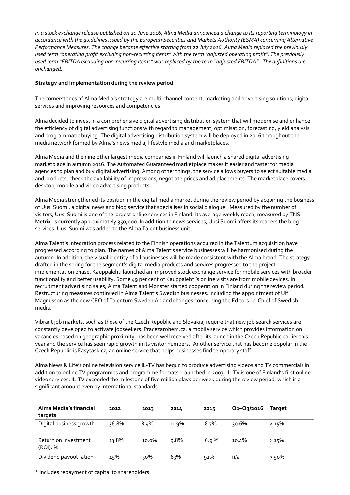*In a stock exchange release published on 20 June 2016, Alma Media announced a change to its reporting terminology in accordance with the guidelines issued by the European Securities and Markets Authority (ESMA) concerning Alternative Performance Measures. The change became effective starting from 22 July 2016. Alma Media replaced the previously used term "operating profit excluding non-recurring items" with the term "adjusted operating profit". The previously used term "EBITDA excluding non-recurring items" was replaced by the term "adjusted EBITDA". The definitions are unchanged.*

#### **Strategy and implementation during the review period**

The cornerstones of Alma Media's strategy are multi-channel content, marketing and advertising solutions, digital services and improving resources and competencies.

Alma decided to invest in a comprehensive digital advertising distribution system that will modernise and enhance the efficiency of digital advertising functions with regard to management, optimisation, forecasting, yield analysis and programmatic buying. The digital advertising distribution system will be deployed in 2016 throughout the media network formed by Alma's news media, lifestyle media and marketplaces.

Alma Media and the nine other largest media companies in Finland will launch a shared digital advertising marketplace in autumn 2016. The Automated Guaranteed marketplace makes it easier and faster for media agencies to plan and buy digital advertising. Among other things, the service allows buyers to select suitable media and products, check the availability of impressions, negotiate prices and ad placements. The marketplace covers desktop, mobile and video advertising products.

Alma Media strengthened its position in the digital media market during the review period by acquiring the business of Uusi Suomi, a digital news and blog service that specialises in social dialogue. Measured by the number of visitors, Uusi Suomi is one of the largest online services in Finland. Its average weekly reach, measured by TNS Metrix, is currently approximately 350,000. In addition to news services, Uusi Suomi offers its readers the blog services. Uusi Suomi was added to the Alma Talent business unit.

Alma Talent's integration process related to the Finnish operations acquired in the Talentum acquisition have progressed according to plan. The names of Alma Talent's service businesses will be harmonised during the autumn. In addition, the visual identity of all businesses will be made consistent with the Alma brand. The strategy drafted in the spring for the segment's digital media products and services progressed to the project implementation phase. Kauppalehti launched an improved stock exchange service for mobile services with broader functionality and better usability. Some 49 per cent of Kauppalehti's online visits are from mobile devices. In recruitment advertising sales, Alma Talent and Monster started cooperation in Finland during the review period. Restructuring measures continued in Alma Talent's Swedish businesses, including the appointment of Ulf Magnusson as the new CEO of Talentum Sweden Ab and changes concerning the Editors-in-Chief of Swedish media.

Vibrant job markets, such as those of the Czech Republic and Slovakia, require that new job search services are constantly developed to activate jobseekers. Pracezarohem.cz, a mobile service which provides information on vacancies based on geographic proximity, has been well received after its launch in the Czech Republic earlier this year and the service has seen rapid growth in its visitor numbers. Another service that has become popular in the Czech Republic is Easytask.cz, an online service that helps businesses find temporary staff.

Alma News & Life's online television service IL-TV has begun to produce advertising videos and TV commercials in addition to online TV programmes and programme formats. Launched in 2007, IL-TV is one of Finland's first online video services. IL-TV exceeded the milestone of five million plays per week during the review period, which is a significant amount even by international standards.

| Alma Media's financial<br>targets | 2012  | 2013  | 2014    | 2015 | Q1-Q3/2016 | Target  |
|-----------------------------------|-------|-------|---------|------|------------|---------|
| Digital business growth           | 36.8% | 8.4%  | 11.9%   | 8.7% | 30.6%      | >15%    |
| Return on Investment<br>(ROI), %  | 13.8% | 10.0% | $9.8\%$ | 6.9% | 10.4%      | >15%    |
| Dividend payout ratio*            | 45%   | 50%   | 63%     | 92%  | n/a        | $>50\%$ |

\* Includes repayment of capital to shareholders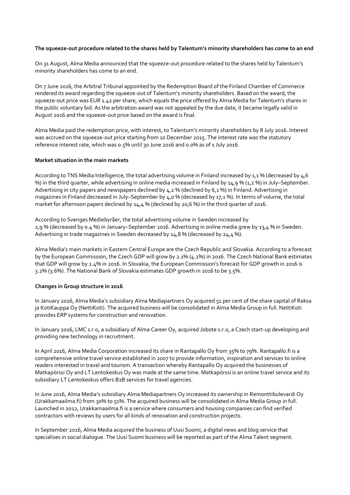#### **The squeeze-out procedure related to the shares held by Talentum's minority shareholders has come to an end**

On 31 August, Alma Media announced that the squeeze-out procedure related to the shares held by Talentum's minority shareholders has come to an end.

On 7 June 2016, the Arbitral Tribunal appointed by the Redemption Board of the Finland Chamber of Commerce rendered its award regarding the squeeze-out of Talentum's minority shareholders. Based on the award, the squeeze-out price was EUR 1.42 per share, which equals the price offered by Alma Media for Talentum's shares in the public voluntary bid. As the arbitration award was not appealed by the due date, it became legally valid in August 2016 and the squeeze-out price based on the award is final.

Alma Media paid the redemption price, with interest, to Talentum's minority shareholders by 8 July 2016. Interest was accrued on the squeeze-out price starting from 10 December 2015. The interest rate was the statutory reference interest rate, which was 0.5% until 30 June 2016 and 0.0% as of 1 July 2016.

#### **Market situation in the main markets**

According to TNS Media Intelligence, the total advertising volume in Finland increased by  $1,1\%$  (decreased by  $4,6$ ) %) in the third quarter, while advertising in online media increased in Finland by 14,9 % (1,2 %) in July–September. Advertising in city papers and newspapers declined by 4,2 % (declined by 6,1 %) in Finland. Advertising in magazines in Finland decreased in July–September by 4,0 % (decreased by 17,1 %). In terms of volume, the total market for afternoon papers declined by 14,4 % (declined by 20,6 %) in the third quarter of 2016.

According to Sveriges Mediebyråer, the total advertising volume in Sweden increased by 2,9 % (decreased by 0.4 %) in January–September 2016. Advertising in online media grew by 13,4 % in Sweden. Advertising in trade magazines in Sweden decreased by 14,8 % (decreased by 24,4 %).

Alma Media's main markets in Eastern Central Europe are the Czech Republic and Slovakia. According to a forecast by the European Commission, the Czech GDP will grow by 2.1% (4.2%) in 2016. The Czech National Bank estimates that GDP will grow by 2.4% in 2016. In Slovakia, the European Commission's forecast for GDP growth in 2016 is 3.2% (3.6%). The National Bank of Slovakia estimates GDP growth in 2016 to be 3.5%.

#### **Changes in Group structure in 2016**

In January 2016, Alma Media's subsidiary Alma Mediapartners Oy acquired 51 per cent of the share capital of Raksa ja KotiKauppa Oy (NettiKoti). The acquired business will be consolidated in Alma Media Group in full. NettiKoti provides ERP systems for construction and renovation.

In January 2016, LMC s.r.o, a subsidiary of Alma Career Oy, acquired Jobote s.r.o, a Czech start-up developing and providing new technology in recruitment.

In April 2016, Alma Media Corporation increased its share in Rantapallo Oy from 35% to 79%. [Rantapallo.fi](http://rantapallo.fi/) is a comprehensive online travel service established in 2007 to provide information, inspiration and services to online readers interested in travel and tourism. A transaction whereby Rantapallo Oy acquired the businesses of Matkapörssi Oy and LT Lentokeskus Oy was made at the same time. Matkapörssi is an online travel service and its subsidiary LT Lentokeskus offers B2B services for travel agencies.

In June 2016, Alma Media's subsidiary Alma Mediapartners Oy increased its ownership in Remonttibulevardi Oy (Urakkamaailma.fi) from 30% to 51%. The acquired business will be consolidated in Alma Media Group in full. Launched in 2012, Urakkamaailma.fi is a service where consumers and housing companies can find verified contractors with reviews by users for all kinds of renovation and construction projects.

In September 2016, Alma Media acquired the business of Uusi Suomi, a digital news and blog service that specialises in social dialogue. The Uusi Suomi business will be reported as part of the Alma Talent segment.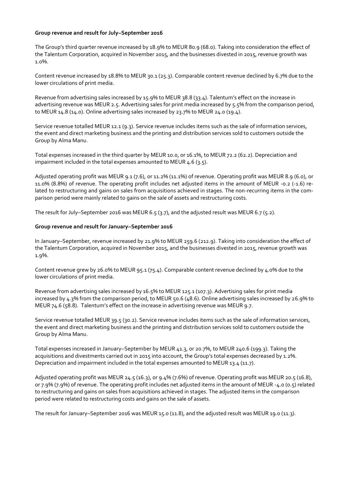#### **Group revenue and result for July–September 2016**

The Group's third quarter revenue increased by 18.9% to MEUR 80.9 (68.0). Taking into consideration the effect of the Talentum Corporation, acquired in November 2015, and the businesses divested in 2015, revenue growth was 1.0%.

Content revenue increased by 18.8% to MEUR 30.1 (25.3). Comparable content revenue declined by 6.7% due to the lower circulations of print media.

Revenue from advertising sales increased by 15.9% to MEUR 38.8 (33.4). Talentum's effect on the increase in advertising revenue was MEUR 2.5. Advertising sales for print media increased by 5.5% from the comparison period, to MEUR 14.8 (14.0). Online advertising sales increased by 23.7% to MEUR 24.0 (19.4).

Service revenue totalled MEUR 12.1 (9.3). Service revenue includes items such as the sale of information services, the event and direct marketing business and the printing and distribution services sold to customers outside the Group by Alma Manu.

Total expenses increased in the third quarter by MEUR 10.0, or 16.1%, to MEUR 72.2 (62.2). Depreciation and impairment included in the total expenses amounted to MEUR  $4.6$  (3.5).

Adjusted operating profit was MEUR 9.1 (7.6), or 11.2% (11.1%) of revenue. Operating profit was MEUR 8.9 (6.0), or 11.0% (8.8%) of revenue. The operating profit includes net adjusted items in the amount of MEUR -0.2 (-1.6) related to restructuring and gains on sales from acquisitions achieved in stages. The non-recurring items in the comparison period were mainly related to gains on the sale of assets and restructuring costs.

The result for July–September 2016 was MEUR 6.5 (3.7), and the adjusted result was MEUR 6.7 (5.2).

#### **Group revenue and result for January–September 2016**

In January–September, revenue increased by 21.9% to MEUR 259.6 (212.9). Taking into consideration the effect of the Talentum Corporation, acquired in November 2015, and the businesses divested in 2015, revenue growth was 1.9%.

Content revenue grew by 26.0% to MEUR 95.1 (75.4). Comparable content revenue declined by 4.0% due to the lower circulations of print media.

Revenue from advertising sales increased by 16.5% to MEUR 125.1 (107.3). Advertising sales for print media increased by 4.3% from the comparison period, to MEUR 50.6 (48.6). Online advertising sales increased by 26.9% to MEUR 74.6 (58.8). Talentum's effect on the increase in advertising revenue was MEUR 9.7.

Service revenue totalled MEUR 39.5 (30.2). Service revenue includes items such as the sale of information services, the event and direct marketing business and the printing and distribution services sold to customers outside the Group by Alma Manu.

Total expenses increased in January–September by MEUR 41.3, or 20.7%, to MEUR 240.6 (199.3). Taking the acquisitions and divestments carried out in 2015 into account, the Group's total expenses decreased by 1.2%. Depreciation and impairment included in the total expenses amounted to MEUR 13.4 (11.7).

Adjusted operating profit was MEUR 24.5 (16.3), or 9.4% (7.6%) of revenue. Operating profit was MEUR 20.5 (16.8), or 7.9% (7.9%) of revenue. The operating profit includes net adjusted items in the amount of MEUR -4.0 (0.5) related to restructuring and gains on sales from acquisitions achieved in stages. The adjusted items in the comparison period were related to restructuring costs and gains on the sale of assets.

The result for January–September 2016 was MEUR 15.0 (11.8), and the adjusted result was MEUR 19.0 (11.3).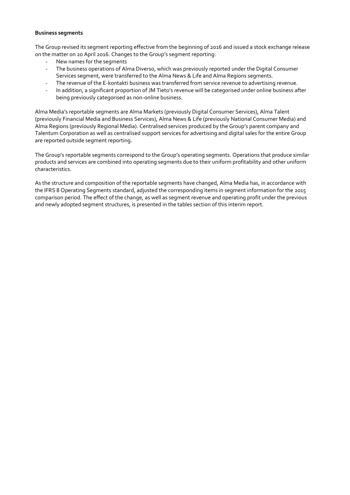#### **Business segments**

The Group revised its segment reporting effective from the beginning of 2016 and issued a stock exchange release on the matter on 20 April 2016. Changes to the Group's segment reporting:

- New names for the segments
- The business operations of Alma Diverso, which was previously reported under the Digital Consumer Services segment, were transferred to the Alma News & Life and Alma Regions segments.
- The revenue of the E-kontakti business was transferred from service revenue to advertising revenue.
- In addition, a significant proportion of JM Tieto's revenue will be categorised under online business after being previously categorised as non-online business.

Alma Media's reportable segments are Alma Markets (previously Digital Consumer Services), Alma Talent (previously Financial Media and Business Services), Alma News & Life (previously National Consumer Media) and Alma Regions (previously Regional Media). Centralised services produced by the Group's parent company and Talentum Corporation as well as centralised support services for advertising and digital sales for the entire Group are reported outside segment reporting.

The Group's reportable segments correspond to the Group's operating segments. Operations that produce similar products and services are combined into operating segments due to their uniform profitability and other uniform characteristics.

As the structure and composition of the reportable segments have changed, Alma Media has, in accordance with the IFRS 8 Operating Segments standard, adjusted the corresponding items in segment information for the 2015 comparison period. The effect of the change, as well as segment revenue and operating profit under the previous and newly adopted segment structures, is presented in the tables section of this interim report.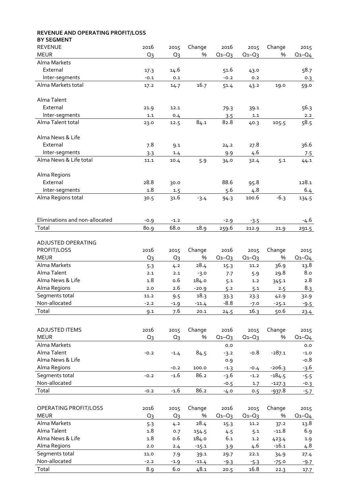| REVENUE AND OPERATING PROFIT/LOSS |         |                |               |             |             |          |                  |
|-----------------------------------|---------|----------------|---------------|-------------|-------------|----------|------------------|
| <b>BY SEGMENT</b>                 |         |                |               |             |             |          |                  |
| <b>REVENUE</b>                    | 2016    | 2015           | Change        | 2016        | 2015        | Change   | 2015             |
| <b>MEUR</b>                       | $Q_3$   | Q <sub>3</sub> | %             | $Q_1 - Q_3$ | $Q_1 - Q_3$ | %        | $Q_1 - Q_4$      |
| Alma Markets                      |         |                |               |             |             |          |                  |
| External                          | 17.3    | 14.6           |               | 51.6        | 43.0        |          | 58.7             |
| Inter-segments                    | $-0.1$  | 0.1            |               | $-0.2$      | 0.2         |          | 0.3              |
| Alma Markets total                | 17.2    | 14.7           | 16.7          | 51.4        | 43.2        | 19.0     | 59.0             |
|                                   |         |                |               |             |             |          |                  |
| Alma Talent                       |         |                |               |             |             |          |                  |
| External                          | 21.9    | 12.1           |               | 79.3        | 39.1        |          | 56.3             |
| Inter-segments                    | $1.1\,$ | 0.4            |               | 3.5         | $1.1\,$     |          | 2.2              |
| Alma Talent total                 | 23.0    | 12.5           | 84.1          | 82.8        | 40.3        | 105.5    | 58.5             |
|                                   |         |                |               |             |             |          |                  |
| Alma News & Life                  |         |                |               |             |             |          |                  |
| External                          | 7.8     | 9.1            |               | 24.2        | 27.8        |          | 36.6             |
| Inter-segments                    | 3.3     | 1.4            |               | 9.9         | 4.6         |          | 7.5              |
| Alma News & Life total            | 11.1    | 10.4           | 5.9           | 34.0        | 32.4        | 5.1      | 44.1             |
|                                   |         |                |               |             |             |          |                  |
| Alma Regions                      |         |                |               |             |             |          |                  |
| External                          | 28.8    | 30.0           |               | 88.6        | 95.8        |          | 128.1            |
| Inter-segments                    | 1.8     | 1.5            |               | 5.6         | 4.8         |          | 6.4              |
| Alma Regions total                | 30.5    | 31.6           | $-3.4$        | 94.3        | 100.6       | $-6.3$   | 134.5            |
|                                   |         |                |               |             |             |          |                  |
|                                   |         |                |               |             |             |          |                  |
| Eliminations and non-allocated    | $-0.9$  | $-1.2$         |               | $-2.9$      | $-3.5$      |          | -4.6             |
| Total                             | 80.9    | 68.o           | 18.9          | 259.6       | 212.9       | 21.9     | 291.5            |
|                                   |         |                |               |             |             |          |                  |
| ADJUSTED OPERATING                |         |                |               |             |             |          |                  |
| PROFIT/LOSS                       | 2016    | 2015           | Change        | 2016        | 2015        | Change   | 2015             |
| <b>MEUR</b>                       | $Q_2$   | $Q_3$          | %             | $Q_1 - Q_3$ | $Q_1 - Q_3$ | %        | $Q_1 - Q_4$      |
| Alma Markets                      | 5.3     | 4.2            | 28.4          | 15.3        | 11.2        | 36.9     | 13.8             |
| Alma Talent                       | 2.1     | 2.1            | $-3.0$        | 7.7         | 5.9         | 29.8     | 8.0              |
| Alma News & Life                  | 1.8     | 0.6            | 184.0         | 5.1         | 1.2         | 345.1    | 2.8              |
| Alma Regions                      | 2.0     | 2.6            | $-20.9$       | 5.2         | 5.1         | 2.5      | 8.3              |
| Segments total                    | 11.2    | 9.5            | 18.3          | 33.3        | 23.3        | 42.9     | 32.9             |
| Non-allocated                     | $-2.2$  | $-1.9$         | $-11.4$       | $-8.8$      | $-7.0$      | $-25.1$  | $-9.5$           |
| Total                             | 9.1     | 7.6            | 20.1          | 24.5        | 16.3        | 50.6     | 23.4             |
|                                   |         |                |               |             |             |          |                  |
| ADJUSTED ITEMS                    | 2016    | 2015           | Change        | 2016        | 2015        | Change   | 2015             |
| <b>MEUR</b>                       | $Q_3$   | $Q_3$          | %             | $Q_1 - Q_3$ | $Q_1 - Q_3$ | %        | $Q_1 - Q_4$      |
| Alma Markets                      |         |                |               | 0.0         |             |          |                  |
| Alma Talent                       |         |                |               |             | $-0.8$      | $-287.1$ | 0.0              |
| Alma News & Life                  | $-0.2$  | $-1.4$         | 84.5          | $-3.2$      |             |          | $-1.0$<br>$-0.8$ |
| Alma Regions                      |         |                |               | 0.9         |             | $-206.3$ |                  |
|                                   |         | $-0.2$         | 100.0<br>86.2 | $-1.3$      | $-0.4$      |          | -3.6             |
| Segments total<br>Non-allocated   | $-0.2$  | $-1.6$         |               | $-3.6$      | $-1.2$      | $-184.5$ | $-5.5$           |
|                                   |         |                |               | $-0.5$      | 1.7         | $-127.3$ | $-0.3$           |
| Total                             | $-0.2$  | $-1.6$         | 86.2          | $-4.0$      | 0.5         | $-937.8$ | $-5.7$           |
|                                   |         |                |               |             |             |          |                  |
| OPERATING PROFIT/LOSS             | 2016    | 2015           | Change        | 2016        | 2015        | Change   | 2015             |
| <b>MEUR</b>                       | $Q_3$   | $Q_3$          | %             | $Q_1 - Q_3$ | $Q_1 - Q_3$ | $\%$     | $Q_1 - Q_4$      |
| Alma Markets                      | 5.3     | 4.2            | 28.4          | 15.3        | 11.2        | 37.2     | 13.8             |
| Alma Talent                       | 1.8     | 0.7            | 154.5         | 4.5         | 5.1         | $-11.8$  | 6.9              |
| Alma News & Life                  | 1.8     | 0.6            | 184.0         | 6.1         | $1.2$       | 423.4    | 1.9              |
| Alma Regions                      | 2.0     | 2.4            | $-15.1$       | 3.9         | 4.6         | $-16.1$  | 4.8              |
| Segments total                    | 11.0    | 7.9            | 39.1          | 29.7        | 22.1        | 34.9     | 27.4             |
| Non-allocated                     | $-2.2$  | $-1.9$         | $-11.4$       | $-9.3$      | $-5.3$      | $-75.0$  | $-9.7$           |
| Total                             | 8.9     | 6.0            | 48.1          | 20.5        | 16.8        | 22.3     | 17.7             |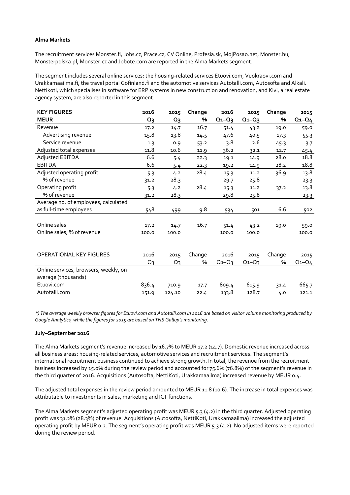#### **Alma Markets**

The recruitment services Monster.fi, Jobs.cz, Prace.cz, CV Online, Profesia.sk, MojPosao.net, Monster.hu, Monsterpolska.pl, Monster.cz and Jobote.com are reported in the Alma Markets segment.

The segment includes several online services: the housing-related services Etuovi.com, Vuokraovi.com and Urakkamaailma.fi, the travel portal Gofinland.fi and the automotive services Autotalli.com, Autosofta and Alkali. Nettikoti, which specialises in software for ERP systems in new construction and renovation, and Kivi, a real estate agency system, are also reported in this segment.

| <b>KEY FIGURES</b>                                           | 2016            | 2015   | Change | 2016        | 2015        | Change | 2015        |
|--------------------------------------------------------------|-----------------|--------|--------|-------------|-------------|--------|-------------|
| <b>MEUR</b>                                                  | $Q_3$           | $Q_3$  | %      | $Q_1 - Q_3$ | $Q_1 - Q_3$ | %      | $Q_1 - Q_4$ |
| Revenue                                                      | 17.2            | 14.7   | 16.7   | 51.4        | 43.2        | 19.0   | 59.0        |
| Advertising revenue                                          | 15.8            | 13.8   | 14.5   | 47.6        | 40.5        | 17.3   | 55.3        |
| Service revenue                                              | 1.3             | 0.9    | 53.2   | 3.8         | 2.6         | 45.3   | 3.7         |
| Adjusted total expenses                                      | 11.8            | 10.6   | 11.9   | 36.2        | 32.1        | 12.7   | 45.4        |
| Adjusted EBITDA                                              | 6.6             | 5.4    | 22.3   | 19.1        | 14.9        | 28.0   | 18.8        |
| <b>EBITDA</b>                                                | 6.6             | 5.4    | 22.3   | 19.2        | 14.9        | 28.2   | 18.8        |
| Adjusted operating profit                                    | 5.3             | 4.2    | 28.4   | 15.3        | 11.2        | 36.9   | 13.8        |
| % of revenue                                                 | 31.2            | 28.3   |        | 29.7        | 25.8        |        | 23.3        |
| Operating profit                                             | 5.3             | 4.2    | 28.4   | 15.3        | 11.2        | 37.2   | 13.8        |
| % of revenue                                                 | 31.2            | 28.3   |        | 29.8        | 25.8        |        | 23.3        |
| Average no. of employees, calculated                         |                 |        |        |             |             |        |             |
| as full-time employees                                       | $\frac{548}{5}$ | 499    | 9.8    | 534         | 501         | 6.6    | 502         |
|                                                              |                 |        |        |             |             |        |             |
| Online sales                                                 | 17.2            | 14.7   | 16.7   | 51.4        | 43.2        | 19.0   | 59.0        |
| Online sales, % of revenue                                   | 100.0           | 100.0  |        | 100.0       | 100.0       |        | 100.0       |
|                                                              |                 |        |        |             |             |        |             |
|                                                              |                 |        |        |             |             |        |             |
| <b>OPERATIONAL KEY FIGURES</b>                               | 2016            | 2015   | Change | 2016        | 2015        | Change | 2015        |
|                                                              | $Q_3$           | $Q_3$  | %      | $Q_1 - Q_3$ | $Q_1 - Q_3$ | $\%$   | $Q_1 - Q_4$ |
| Online services, browsers, weekly, on<br>average (thousands) |                 |        |        |             |             |        |             |
| Etuovi.com                                                   | 836.4           | 710.9  | 17.7   | 809.4       | 615.9       | 31.4   | 665.7       |
| Autotalli.com                                                | 151.9           | 124.10 | 22.4   | 133.8       | 128.7       | 4.0    | 121.1       |

*\*) The average weekly browser figures for Etuovi.com and Autotalli.com in 2016 are based on visitor volume monitoring produced by Google Analytics, while the figures for 2015 are based on TNS Gallup's monitoring.*

#### **July–September 2016**

The Alma Markets segment's revenue increased by 16.7% to MEUR 17.2 (14.7). Domestic revenue increased across all business areas: housing-related services, automotive services and recruitment services. The segment's international recruitment business continued to achieve strong growth. In total, the revenue from the recruitment business increased by 15.0% during the review period and accounted for 75.6% (76.8%) of the segment's revenue in the third quarter of 2016. Acquisitions (Autosofta, NettiKoti, Urakkamaailma) increased revenue by MEUR 0.4.

The adjusted total expenses in the review period amounted to MEUR 11.8 (10.6). The increase in total expenses was attributable to investments in sales, marketing and ICT functions.

The Alma Markets segment's adjusted operating profit was MEUR 5.3 (4.2) in the third quarter. Adjusted operating profit was 31.2% (28.3%) of revenue. Acquisitions (Autosofta, NettiKoti, Urakkamaailma) increased the adjusted operating profit by MEUR 0.2. The segment's operating profit was MEUR 5.3 (4.2). No adjusted items were reported during the review period.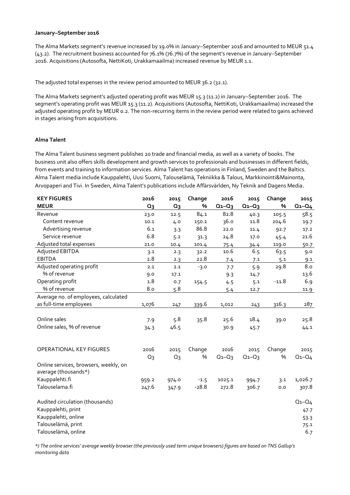#### **January–September 2016**

The Alma Markets segment's revenue increased by 19.0% in January–September 2016 and amounted to MEUR 51.4 (43.2). The recruitment business accounted for 76.1% (76.7%) of the segment's revenue in January–September 2016. Acquisitions (Autosofta, NettiKoti, Urakkamaailma) increased revenue by MEUR 1.1.

The adjusted total expenses in the review period amounted to MEUR 36.2 (32.1).

The Alma Markets segment's adjusted operating profit was MEUR 15.3 (11.2) in January–September 2016. The segment's operating profit was MEUR 15.3 (11.2). Acquisitions (Autosofta, NettiKoti, Urakkamaailma) increased the adjusted operating profit by MEUR 0.2. The non-recurring items in the review period were related to gains achieved in stages arising from acquisitions.

## **Alma Talent**

The Alma Talent business segment publishes 20 trade and financial media, as well as a variety of books. The business unit also offers skills development and growth services to professionals and businesses in different fields, from events and training to information services. Alma Talent has operations in Finland, Sweden and the Baltics. Alma Talent media include Kauppalehti, Uusi Suomi, Talouselämä, Tekniikka & Talous, Markkinointi&Mainonta, Arvopaperi and Tivi. In Sweden, Alma Talent's publications include Affärsvärlden, Ny Teknik and Dagens Media.

| <b>KEY FIGURES</b>                                            | 2016  | 2015           | Change  | 2016        | 2015        | Change  | 2015        |
|---------------------------------------------------------------|-------|----------------|---------|-------------|-------------|---------|-------------|
| <b>MEUR</b>                                                   | $Q_3$ | Q <sub>3</sub> | %       | $Q_1 - Q_3$ | $Q_1 - Q_3$ | %       | $Q_1 - Q_4$ |
| Revenue                                                       | 23.0  | 12.5           | 84.1    | 82.8        | 40.3        | 105.5   | 58.5        |
| Content revenue                                               | 10.1  | 4.0            | 150.1   | 36.0        | 11.8        | 204.6   | 19.7        |
| Advertising revenue                                           | 6.1   | 3.3            | 86.8    | 22.0        | 11.4        | 92.7    | 17.2        |
| Service revenue                                               | 6.8   | 5.2            | 31.3    | 24.8        | 17.0        | 45.4    | 21.6        |
| Adjusted total expenses                                       | 21.0  | 10.4           | 101.4   | 75.4        | 34.4        | 119.0   | 50.7        |
| Adjusted EBITDA                                               | 3.1   | 2.3            | 32.2    | 10.6        | 6.5         | 63.5    | 9.0         |
| <b>EBITDA</b>                                                 | 2.8   | 2.3            | 22.8    | 7.4         | 7.1         | 5.1     | 9.1         |
| Adjusted operating profit                                     | 2.1   | 2.1            | $-3.0$  | 7.7         | 5.9         | 29.8    | 8.0         |
| % of revenue                                                  | 9.0   | 17.1           |         | 9.3         | 14.7        |         | 13.6        |
| Operating profit                                              | 1.8   | 0.7            | 154.5   | 4.5         | 5.1         | $-11.8$ | 6.9         |
| % of revenue                                                  | 8.0   | 5.8            |         | 5.4         | 12.7        |         | 11.9        |
| Average no. of employees, calculated                          |       |                |         |             |             |         |             |
| as full-time employees                                        | 1,076 | 247            | 339.6   | 1,012       | 243         | 316.3   | 287         |
|                                                               |       |                |         |             |             |         |             |
| Online sales                                                  | 7.9   | 5.8            | 35.8    | 25.6        | 18.4        | 39.0    | 25.8        |
| Online sales, % of revenue                                    | 34.3  | 46.5           |         | 30.9        | 45.7        |         | 44.1        |
|                                                               |       |                |         |             |             |         |             |
|                                                               |       |                |         |             |             |         |             |
| OPERATIONAL KEY FIGURES                                       | 2016  | 2015           | Change  | 2016        | 2015        | Change  | 2015        |
|                                                               | $Q_3$ | Q <sub>3</sub> | $\%$    | $Q_1 - Q_3$ | $Q_1 - Q_3$ | $\%$    | $Q_1 - Q_4$ |
| Online services, browsers, weekly, on<br>average (thousands*) |       |                |         |             |             |         |             |
| Kauppalehti.fi                                                | 959.2 | 974.0          | $-1.5$  | 1025.1      | 994.7       | 3.1     | 1,026.7     |
| Talouselama.fi                                                | 247.6 | 347.9          | $-28.8$ | 272.8       | 306.7       | 0.0     | 307.8       |
|                                                               |       |                |         |             |             |         |             |
| Audited circulation (thousands)                               |       |                |         |             |             |         | $Q_1 - Q_4$ |
| Kauppalehti, print                                            |       |                |         |             |             |         | 47.7        |
| Kauppalehti, online                                           |       |                |         |             |             |         | 53.3        |
| Talouselämä, print                                            |       |                |         |             |             |         | 75.1        |
| Talouselämä, online                                           |       |                |         |             |             |         | 6.7         |

*\*) The online services' average weekly browser (the previously used term unique browsers) figures are based on TNS Gallup's monitoring data*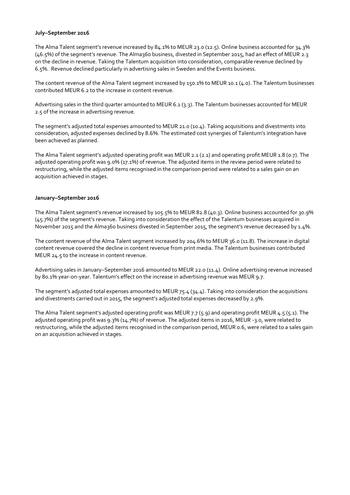#### **July–September 2016**

The Alma Talent segment's revenue increased by 84.1% to MEUR 23.0 (12.5). Online business accounted for 34.3% (46.5%) of the segment's revenue. The Alma360 business, divested in September 2015, had an effect of MEUR 2.3 on the decline in revenue. Taking the Talentum acquisition into consideration, comparable revenue declined by 6.5%. Revenue declined particularly in advertising sales in Sweden and the Events business.

The content revenue of the Alma Talent segment increased by 150.1% to MEUR 10.1 (4.0). The Talentum businesses contributed MEUR 6.2 to the increase in content revenue.

Advertising sales in the third quarter amounted to MEUR 6.1 (3.3). The Talentum businesses accounted for MEUR 2.5 of the increase in advertising revenue.

The segment's adjusted total expenses amounted to MEUR 21.0 (10.4). Taking acquisitions and divestments into consideration, adjusted expenses declined by 8.6%. The estimated cost synergies of Talentum's integration have been achieved as planned.

The Alma Talent segment's adjusted operating profit was MEUR 2.1 (2.1) and operating profit MEUR 1.8 (0.7). The adjusted operating profit was 9.0% (17.1%) of revenue. The adjusted items in the review period were related to restructuring, while the adjusted items recognised in the comparison period were related to a sales gain on an acquisition achieved in stages.

## **January–September 2016**

The Alma Talent segment's revenue increased by 105.5% to MEUR 82.8 (40.3). Online business accounted for 30.9% (45.7%) of the segment's revenue. Taking into consideration the effect of the Talentum businesses acquired in November 2015 and the Alma360 business divested in September 2015, the segment's revenue decreased by 1.4%.

The content revenue of the Alma Talent segment increased by 204.6% to MEUR 36.0 (11.8). The increase in digital content revenue covered the decline in content revenue from print media. The Talentum businesses contributed MEUR 24.5 to the increase in content revenue.

Advertising sales in January–September 2016 amounted to MEUR 22.0 (11.4). Online advertising revenue increased by 80.1% year-on-year. Talentum's effect on the increase in advertising revenue was MEUR 9.7.

The segment's adjusted total expenses amounted to MEUR 75.4 (34.4). Taking into consideration the acquisitions and divestments carried out in 2015, the segment's adjusted total expenses decreased by 2.9%.

The Alma Talent segment's adjusted operating profit was MEUR 7.7 (5.9) and operating profit MEUR 4.5 (5.1). The adjusted operating profit was 9.3% (14.7%) of revenue. The adjusted items in 2016, MEUR -3.0, were related to restructuring, while the adjusted items recognised in the comparison period, MEUR 0.6, were related to a sales gain on an acquisition achieved in stages.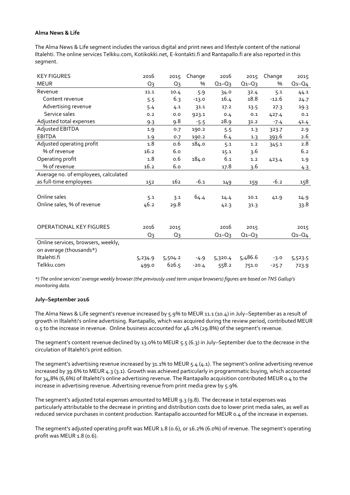## **Alma News & Life**

The Alma News & Life segment includes the various digital and print news and lifestyle content of the national Iltalehti. The online services Telkku.com, Kotikokki.net, E-kontakti.fi and Rantapallo.fi are also reported in this segment.

| <b>KEY FIGURES</b>                   | 2016    | 2015    | Change  | 2016        | 2015        | Change  | 2015        |
|--------------------------------------|---------|---------|---------|-------------|-------------|---------|-------------|
| <b>MEUR</b>                          | $Q_3$   | $Q_3$   | %       | $Q_1 - Q_3$ | $Q_1 - Q_3$ | %       | $Q_1 - Q_4$ |
| Revenue                              | 11.1    | 10.4    | 5.9     | 34.0        | 32.4        | 5.1     | 44.1        |
| Content revenue                      | 5.5     | 6.3     | $-13.0$ | 16.4        | 18.8        | $-12.6$ | 24.7        |
| Advertising revenue                  | 5.4     | 4.1     | 31.1    | 17.2        | 13.5        | 27.3    | 19.3        |
| Service sales                        | 0.2     | 0.0     | 923.1   | 0.4         | 0.1         | 427.4   | 0.1         |
| Adjusted total expenses              | 9.3     | 9.8     | $-5.5$  | 28.9        | 31.2        | $-7.4$  | 41.4        |
| Adjusted EBITDA                      | 1.9     | 0.7     | 190.2   | 5.5         | 1.3         | 323.7   | 2.9         |
| <b>EBITDA</b>                        | 1.9     | 0.7     | 190.2   | 6.4         | 1.3         | 393.6   | 2.6         |
| Adjusted operating profit            | 1.8     | 0.6     | 184.0   | 5.1         | 1.2         | 345.1   | 2.8         |
| % of revenue                         | 16.2    | 6.0     |         | 15.1        | 3.6         |         | 6.2         |
| Operating profit                     | 1.8     | 0.6     | 184.0   | 6.1         | 1.2         | 423.4   | 1.9         |
| % of revenue                         | 16.2    | 6.0     |         | 17.8        | 3.6         |         | 4.3         |
| Average no. of employees, calculated |         |         |         |             |             |         |             |
| as full-time employees               | 152     | 162     | $-6.1$  | 149         | 159         | $-6.2$  | 158         |
|                                      |         |         |         |             |             |         |             |
| Online sales                         | 5.1     | 3.1     | 64.4    | 14.4        | 10.1        | 41.9    | 14.9        |
| Online sales, % of revenue           | 46.2    | 29.8    |         | 42.3        | 31.3        |         | 33.8        |
|                                      |         |         |         |             |             |         |             |
|                                      |         |         |         |             |             |         |             |
| <b>OPERATIONAL KEY FIGURES</b>       | 2016    | 2015    |         | 2016        | 2015        |         | 2015        |
|                                      | $Q_3$   | $Q_3$   |         | $Q_1 - Q_3$ | $Q_1 - Q_3$ |         | $Q_1 - Q_4$ |
| Online services, browsers, weekly,   |         |         |         |             |             |         |             |
| on average (thousands*)              |         |         |         |             |             |         |             |
| Iltalehti.fi                         | 5,234.9 | 5,504.2 | $-4.9$  | 5,320.4     | 5,486.6     | $-3.0$  | 5,523.5     |
| Telkku.com                           | 499.0   | 626.5   | $-20.4$ | 558.2       | 751.0       | $-25.7$ | 723.9       |

*\*) The online services' average weekly browser (the previously used term unique browsers) figures are based on TNS Gallup's monitoring data.*

#### **July–September 2016**

The Alma News & Life segment's revenue increased by 5.9% to MEUR 11.1 (10.4) in July–September as a result of growth in Iltalehti's online advertising. Rantapallo, which was acquired during the review period, contributed MEUR 0.5 to the increase in revenue. Online business accounted for 46.2% (29.8%) of the segment's revenue.

The segment's content revenue declined by 13.0% to MEUR 5.5 (6.3) in July–September due to the decrease in the circulation of Iltalehti's print edition.

The segment's advertising revenue increased by 31.1% to MEUR 5.4 (4.1). The segment's online advertising revenue increased by 39.6% to MEUR 4.3 (3.1). Growth was achieved particularly in programmatic buying, which accounted for 34,8% (6,6%) of Iltalehti's online advertising revenue. The Rantapallo acquisition contributed MEUR 0.4 to the increase in advertising revenue. Advertising revenue from print media grew by 5.9%.

The segment's adjusted total expenses amounted to MEUR 9.3 (9.8). The decrease in total expenses was particularly attributable to the decrease in printing and distribution costs due to lower print media sales, as well as reduced service purchases in content production. Rantapallo accounted for MEUR 0.4 of the increase in expenses.

The segment's adjusted operating profit was MEUR 1.8 (0.6), or 16.2% (6.0%) of revenue. The segment's operating profit was MEUR 1.8 (0.6).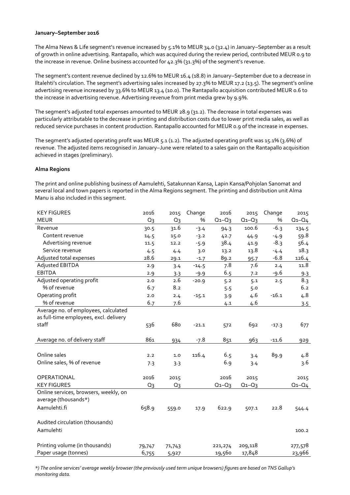#### **January–September 2016**

The Alma News & Life segment's revenue increased by 5.1% to MEUR 34.0 (32.4) in January–September as a result of growth in online advertising. Rantapallo, which was acquired during the review period, contributed MEUR 0.9 to the increase in revenue. Online business accounted for 42.3% (31.3%) of the segment's revenue.

The segment's content revenue declined by 12.6% to MEUR 16.4 (18.8) in January–September due to a decrease in Iltalehti's circulation. The segment's advertising sales increased by 27.3% to MEUR 17.2 (13.5). The segment's online advertising revenue increased by 33.6% to MEUR 13.4 (10.0). The Rantapallo acquisition contributed MEUR 0.6 to the increase in advertising revenue. Advertising revenue from print media grew by 9.9%.

The segment's adjusted total expenses amounted to MEUR 28.9 (31.2). The decrease in total expenses was particularly attributable to the decrease in printing and distribution costs due to lower print media sales, as well as reduced service purchases in content production. Rantapallo accounted for MEUR 0.9 of the increase in expenses.

The segment's adjusted operating profit was MEUR 5.1 (1.2). The adjusted operating profit was 15.1% (3.6%) of revenue. The adjusted items recognised in January–June were related to a sales gain on the Rantapallo acquisition achieved in stages (preliminary).

## **Alma Regions**

The print and online publishing business of Aamulehti, Satakunnan Kansa, Lapin Kansa/Pohjolan Sanomat and several local and town papers is reported in the Alma Regions segment. The printing and distribution unit Alma Manu is also included in this segment.

| <b>KEY FIGURES</b>                     | 2016   | 2015   | Change  | 2016        | 2015        | Change  | 2015        |
|----------------------------------------|--------|--------|---------|-------------|-------------|---------|-------------|
| <b>MEUR</b>                            | $Q_3$  | $Q_3$  | %       | $Q_1 - Q_3$ | $Q_1 - Q_3$ | %       | $Q_1 - Q_4$ |
| Revenue                                | 30.5   | 31.6   | $-3.4$  | 94.3        | 100.6       | $-6.3$  | 134.5       |
| Content revenue                        | 14.5   | 15.0   | $-3.2$  | 42.7        | 44.9        | $-4.9$  | 59.8        |
| Advertising revenue                    | 11.5   | 12.2   | $-5.9$  | 38.4        | 41.9        | $-8.3$  | 56.4        |
| Service revenue                        | 4.5    | 4.4    | 3.0     | 13.2        | 13.8        | $-4.4$  | 18.3        |
| Adjusted total expenses                | 28.6   | 29.1   | $-1.7$  | 89.2        | 95.7        | $-6.8$  | 126.4       |
| Adjusted EBITDA                        | 2.9    | 3.4    | $-14.5$ | 7.8         | 7.6         | 2.4     | 11.8        |
| <b>EBITDA</b>                          | 2.9    | 3.3    | $-9.9$  | 6.5         | 7.2         | -9.6    | 9.3         |
| Adjusted operating profit              | 2.0    | 2.6    | $-20.9$ | 5.2         | 5.1         | 2.5     | 8.3         |
| % of revenue                           | 6.7    | 8.2    |         | 5.5         | 5.0         |         | 6.2         |
| Operating profit                       | 2.0    | 2.4    | $-15.1$ | 3.9         | 4.6         | $-16.1$ | 4.8         |
| % of revenue                           | 6.7    | 7.6    |         | 4.1         | 4.6         |         | 3.5         |
| Average no. of employees, calculated   |        |        |         |             |             |         |             |
| as full-time employees, excl. delivery |        |        |         |             |             |         |             |
| staff                                  | 536    | 680    | $-21.1$ | 572         | 692         | $-17.3$ | 677         |
|                                        |        |        |         |             |             |         |             |
| Average no. of delivery staff          | 861    | 934    | $-7.8$  | 851         | 963         | $-11.6$ | 929         |
|                                        |        |        |         |             |             |         |             |
| Online sales                           | 2.2    | $1.0$  | 116.4   | 6.5         | 3.4         | 89.9    | 4.8         |
| Online sales, % of revenue             | 7.3    | 3.3    |         | 6.9         | 3.4         |         | 3.6         |
|                                        |        |        |         |             |             |         |             |
| OPERATIONAL                            | 2016   | 2015   |         | 2016        | 2015        |         | 2015        |
| <b>KEY FIGURES</b>                     | $Q_3$  | $Q_3$  |         | $Q_1 - Q_3$ | $Q_1 - Q_3$ |         | $Q_1 - Q_4$ |
| Online services, browsers, weekly, on  |        |        |         |             |             |         |             |
| average (thousands*)                   |        |        |         |             |             |         |             |
| Aamulehti.fi                           | 658.9  | 559.0  | 17.9    | 622.9       | 507.1       | 22.8    | 544.4       |
|                                        |        |        |         |             |             |         |             |
| Audited circulation (thousands)        |        |        |         |             |             |         |             |
| Aamulehti                              |        |        |         |             |             |         | 100.2       |
|                                        |        |        |         |             |             |         |             |
| Printing volume (in thousands)         | 79,747 | 71,743 |         | 221,274     | 209,118     |         | 277,578     |
| Paper usage (tonnes)                   | 6,755  | 5,927  |         | 19,560      | 17,848      |         | 23,966      |

*\*) The online services' average weekly browser (the previously used term unique browsers) figures are based on TNS Gallup's monitoring data.*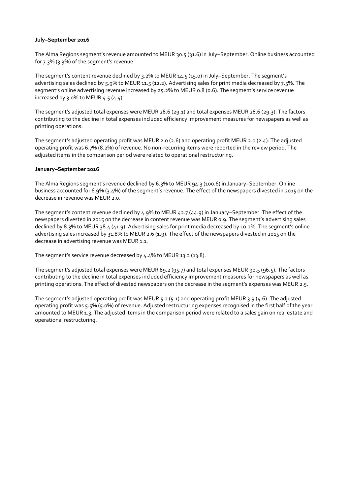#### **July–September 2016**

The Alma Regions segment's revenue amounted to MEUR 30.5 (31.6) in July–September. Online business accounted for 7.3% (3.3%) of the segment's revenue.

The segment's content revenue declined by 3.2% to MEUR 14.5 (15.0) in July–September. The segment's advertising sales declined by 5.9% to MEUR 11.5 (12.2). Advertising sales for print media decreased by 7.5%. The segment's online advertising revenue increased by 25.2% to MEUR 0.8 (0.6). The segment's service revenue increased by 3.0% to MEUR  $4.5(4.4)$ .

The segment's adjusted total expenses were MEUR 28.6 (29.1) and total expenses MEUR 28.6 (29.3). The factors contributing to the decline in total expenses included efficiency improvement measures for newspapers as well as printing operations.

The segment's adjusted operating profit was MEUR 2.0 (2.6) and operating profit MEUR 2.0 (2.4). The adjusted operating profit was 6.7% (8.2%) of revenue. No non-recurring items were reported in the review period. The adjusted items in the comparison period were related to operational restructuring.

#### **January–September 2016**

The Alma Regions segment's revenue declined by 6.3% to MEUR 94.3 (100.6) in January–September. Online business accounted for 6.9% (3.4%) of the segment's revenue. The effect of the newspapers divested in 2015 on the decrease in revenue was MEUR 2.0.

The segment's content revenue declined by 4.9% to MEUR 42.7 (44.9) in January–September. The effect of the newspapers divested in 2015 on the decrease in content revenue was MEUR 0.9. The segment's advertising sales declined by 8.3% to MEUR 38.4 (41.9). Advertising sales for print media decreased by 10.2%. The segment's online advertising sales increased by 31.8% to MEUR 2.6 (1.9). The effect of the newspapers divested in 2015 on the decrease in advertising revenue was MEUR 1.1.

The segment's service revenue decreased by 4.4% to MEUR 13.2 (13.8).

The segment's adjusted total expenses were MEUR 89.2 (95.7) and total expenses MEUR 90.5 (96.5). The factors contributing to the decline in total expenses included efficiency improvement measures for newspapers as well as printing operations. The effect of divested newspapers on the decrease in the segment's expenses was MEUR 2.5.

The segment's adjusted operating profit was MEUR  $5.2$  ( $5.1$ ) and operating profit MEUR 3.9 (4.6). The adjusted operating profit was 5.5% (5.0%) of revenue. Adjusted restructuring expenses recognised in the first half of the year amounted to MEUR 1.3. The adjusted items in the comparison period were related to a sales gain on real estate and operational restructuring.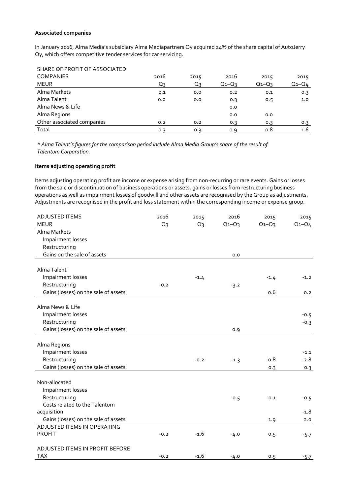#### **Associated companies**

In January 2016, Alma Media's subsidiary Alma Mediapartners Oy acquired 24% of the share capital of AutoJerry Oy, which offers competitive tender services for car servicing.

| SHARE OF PROFIT OF ASSOCIATED |      |       |             |             |             |
|-------------------------------|------|-------|-------------|-------------|-------------|
| <b>COMPANIES</b>              | 2016 | 2015  | 2016        | 2015        | 2015        |
| <b>MEUR</b>                   | Q3   | $Q_3$ | $Q_1 - Q_3$ | $Q_1 - Q_3$ | $Q_1 - Q_4$ |
| Alma Markets                  | 0.1  | 0.0   | 0.2         | 0.1         | 0.3         |
| Alma Talent                   | 0.0  | 0.0   | 0.3         | 0.5         | 1.0         |
| Alma News & Life              |      |       | 0.0         |             |             |
| Alma Regions                  |      |       | 0.0         | 0.0         |             |
| Other associated companies    | 0.2  | 0.2   | 0.3         | 0.3         | 0.3         |
| Total                         | 0.3  | 0.3   | 0.9         | 0.8         | 1.6         |

*\* Alma Talent's figures for the comparison period include Alma Media Group's share of the result of Talentum Corporation.*

## **Items adjusting operating profit**

Items adjusting operating profit are income or expense arising from non-recurring or rare events. Gains or losses from the sale or discontinuation of business operations or assets, gains or losses from restructuring business operations as well as impairment losses of goodwill and other assets are recognised by the Group as adjustments. Adjustments are recognised in the profit and loss statement within the corresponding income or expense group.

| <b>ADJUSTED ITEMS</b>                | 2016   | 2015   | 2016        | 2015        | 2015        |
|--------------------------------------|--------|--------|-------------|-------------|-------------|
| <b>MEUR</b>                          | Q3     | Q3     | $Q_1 - Q_3$ | $Q_1 - Q_3$ | $Q_1 - Q_4$ |
| Alma Markets                         |        |        |             |             |             |
| Impairment losses                    |        |        |             |             |             |
| Restructuring                        |        |        |             |             |             |
| Gains on the sale of assets          |        |        | 0.0         |             |             |
|                                      |        |        |             |             |             |
| Alma Talent                          |        |        |             |             |             |
| Impairment losses                    |        | $-1.4$ |             | $-1.4$      | $-1.2$      |
| Restructuring                        | $-0.2$ |        | $-3.2$      |             |             |
| Gains (losses) on the sale of assets |        |        |             | 0.6         | 0.2         |
|                                      |        |        |             |             |             |
| Alma News & Life                     |        |        |             |             |             |
| Impairment losses                    |        |        |             |             | $-0.5$      |
| Restructuring                        |        |        |             |             | $-0.3$      |
| Gains (losses) on the sale of assets |        |        | 0.9         |             |             |
|                                      |        |        |             |             |             |
| Alma Regions                         |        |        |             |             |             |
| Impairment losses                    |        |        |             |             | $-1.1$      |
| Restructuring                        |        | $-0.2$ | $-1.3$      | $-0.8$      | $-2.8$      |
| Gains (losses) on the sale of assets |        |        |             | 0.3         | 0.3         |
| Non-allocated                        |        |        |             |             |             |
| Impairment losses                    |        |        |             |             |             |
| Restructuring                        |        |        | $-0.5$      | $-0.1$      | $-0.5$      |
| Costs related to the Talentum        |        |        |             |             |             |
| acquisition                          |        |        |             |             | $-1.8$      |
| Gains (losses) on the sale of assets |        |        |             | 1.9         | 2.0         |
| ADJUSTED ITEMS IN OPERATING          |        |        |             |             |             |
| <b>PROFIT</b>                        | $-0.2$ | $-1.6$ | $-4.0$      | 0.5         | $-5.7$      |
|                                      |        |        |             |             |             |
| ADJUSTED ITEMS IN PROFIT BEFORE      |        |        |             |             |             |
| <b>TAX</b>                           | $-0.2$ | $-1.6$ | $-4.0$      | 0.5         | $-5.7$      |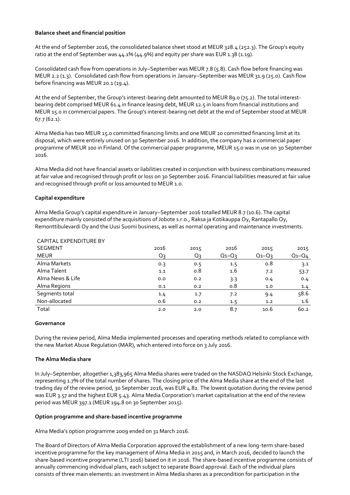## **Balance sheet and financial position**

At the end of September 2016, the consolidated balance sheet stood at MEUR 328.4 (252.3). The Group's equity ratio at the end of September was 44.1% (44.9%) and equity per share was EUR 1.38 (1.19).

Consolidated cash flow from operations in July–September was MEUR 7.8 (5.8). Cash flow before financing was MEUR 2.2 (1.3). Consolidated cash flow from operations in January–September was MEUR 31.9 (25.0). Cash flow before financing was MEUR 20.1 (19.4).

At the end of September, the Group's interest-bearing debt amounted to MEUR 89.0 (75.2). The total interestbearing debt comprised MEUR 61.4 in finance leasing debt, MEUR 12.5 in loans from financial institutions and MEUR 15.0 in commercial papers. The Group's interest-bearing net debt at the end of September stood at MEUR 67.7 (62.1).

Alma Media has two MEUR 15.0 committed financing limits and one MEUR 20 committed financing limit at its disposal, which were entirely unused on 30 September 2016. In addition, the company has a commercial paper programme of MEUR 100 in Finland. Of the commercial paper programme, MEUR 15.0 was in use on 30 September 2016.

Alma Media did not have financial assets or liabilities created in conjunction with business combinations measured at fair value and recognised through profit or loss on 30 September 2016. Financial liabilities measured at fair value and recognised through profit or loss amounted to MEUR 1.0.

# **Capital expenditure**

Alma Media Group's capital expenditure in January–September 2016 totalled MEUR 8.7 (10.6). The capital expenditure mainly consisted of the acquisitions of Jobote s.r.o., Raksa ja Kotikauppa Oy, Rantapallo Oy, Remonttibulevardi Oy and the Uusi Suomi business, as well as normal operating and maintenance investments.

| 2016  | 2015           | 2016      | 2015        | 2015        |
|-------|----------------|-----------|-------------|-------------|
| $Q_3$ | Q <sub>3</sub> | $Q_1-Q_3$ | $Q_1 - Q_3$ | $Q_1 - Q_4$ |
| 0.3   | 0.5            | 1.5       | 0.8         | 3.1         |
| 1.1   | 0.8            | 1.6       | 7.2         | 53.7        |
| 0.0   | 0.2            | 3.3       | 0.4         | 0.4         |
| 0.1   | 0.2            | 0.8       | 1.0         | 1.4         |
| 1.4   | 1.7            | 7.2       | 9.4         | 58.6        |
| 0.6   | 0.2            | 1.5       | 1.2         | $1.6\,$     |
| 2.0   | 2.0            | 8.7       | 10.6        | 60.2        |
|       |                |           |             |             |

# CAPITAL EXPENDITURE BY

#### **Governance**

During the review period, Alma Media implemented processes and operating methods related to compliance with the new Market Abuse Regulation (MAR), which entered into force on 3 July 2016.

#### **The Alma Media share**

In July–September, altogether 1,383,965 Alma Media shares were traded on the NASDAQ Helsinki Stock Exchange, representing 1.7% of the total number of shares. The closing price of the Alma Media share at the end of the last trading day of the review period, 30 September 2016, was EUR 4.82. The lowest quotation during the review period was EUR 3.57 and the highest EUR 5.43. Alma Media Corporation's market capitalisation at the end of the review period was MEUR 397.1 (MEUR 194.8 on 30 September 2015).

#### **Option programme and share-based incentive programme**

Alma Media's option programme 2009 ended on 31 March 2016.

The Board of Directors of Alma Media Corporation approved the establishment of a new long-term share-based incentive programme for the key management of Alma Media in 2015 and, in March 2016, decided to launch the share-based incentive programme (LTI 2016) based on it in 2016. The share-based incentive programme consists of annually commencing individual plans, each subject to separate Board approval. Each of the individual plans consists of three main elements: an investment in Alma Media shares as a precondition for participation in the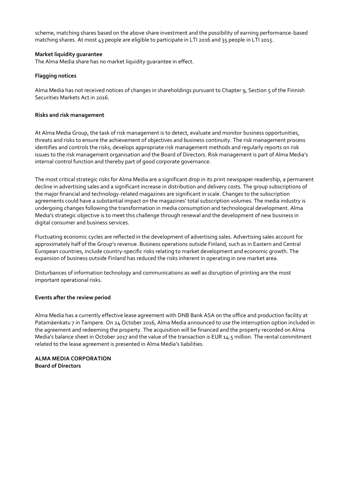scheme, matching shares based on the above share investment and the possibility of earning performance-based matching shares. At most 43 people are eligible to participate in LTI 2016 and 35 people in LTI 2015.

## **Market liquidity guarantee**

The Alma Media share has no market liquidity guarantee in effect.

## **Flagging notices**

Alma Media has not received notices of changes in shareholdings pursuant to Chapter 9, Section 5 of the Finnish Securities Markets Act in 2016.

#### **Risks and risk management**

At Alma Media Group, the task of risk management is to detect, evaluate and monitor business opportunities, threats and risks to ensure the achievement of objectives and business continuity. The risk management process identifies and controls the risks, develops appropriate risk management methods and regularly reports on risk issues to the risk management organisation and the Board of Directors. Risk management is part of Alma Media's internal control function and thereby part of good corporate governance.

The most critical strategic risks for Alma Media are a significant drop in its print newspaper readership, a permanent decline in advertising sales and a significant increase in distribution and delivery costs. The group subscriptions of the major financial and technology-related magazines are significant in scale. Changes to the subscription agreements could have a substantial impact on the magazines' total subscription volumes. The media industry is undergoing changes following the transformation in media consumption and technological development. Alma Media's strategic objective is to meet this challenge through renewal and the development of new business in digital consumer and business services.

Fluctuating economic cycles are reflected in the development of advertising sales. Advertising sales account for approximately half of the Group's revenue. Business operations outside Finland, such as in Eastern and Central European countries, include country-specific risks relating to market development and economic growth. The expansion of business outside Finland has reduced the risks inherent in operating in one market area.

Disturbances of information technology and communications as well as disruption of printing are the most important operational risks.

# **Events after the review period**

Alma Media has a currently effective lease agreement with DNB Bank ASA on the office and production facility at Patamäenkatu 7 in Tampere. On 24 October 2016, Alma Media announced to use the interruption option included in the agreement and redeeming the property. The acquisition will be financed and the property recorded on Alma Media's balance sheet in October 2017 and the value of the transaction is EUR 14.5 million. The rental commitment related to the lease agreement is presented in Alma Media's liabilities.

## **ALMA MEDIA CORPORATION Board of Directors**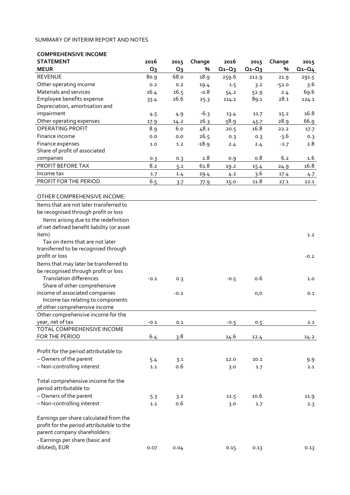#### SUMMARY OF INTERIM REPORT AND NOTES

| <b>COMPREHENSIVE INCOME</b>                |        |        |         |             |             |         |             |
|--------------------------------------------|--------|--------|---------|-------------|-------------|---------|-------------|
| <b>STATEMENT</b>                           | 2016   | 2015   | Change  | 2016        | 2015        | Change  | 2015        |
| <b>MEUR</b>                                | $Q_3$  | $Q_3$  | %       | $Q_1 - Q_3$ | $Q_1 - Q_3$ | %       | $Q_1 - Q_4$ |
| <b>REVENUE</b>                             | 80.9   | 68.0   | 18.9    | 259.6       | 212.9       | 21.9    | 291.5       |
| Other operating income                     | 0.2    | 0.2    | 19.4    | 1.5         | 3.2         | $-52.0$ | 3.6         |
| Materials and services                     | 16.4   | 16.5   | $-0.8$  | 54.2        | 52.9        | 2.4     | 69.6        |
| Employee benefits expense                  | 33.4   | 26.6   | 25.3    | 114.1       | 89.1        | 28.1    | 124.1       |
| Depreciation, amortisation and             |        |        |         |             |             |         |             |
| impairment                                 | 4.5    | 4.9    | $-6.3$  | 13.4        | 11.7        | 15.2    | 16.8        |
| Other operating expenses                   | 17.9   | 14.2   | 26.3    | 58.9        | 45.7        | 28.9    | 66.9        |
| OPERATING PROFIT                           | 8.9    | 6.0    | 48.1    | 20.5        | 16.8        | 22.2    | 17.7        |
| Finance income                             | 0.0    | 0.0    | 26.5    | 0.3         | 0.3         | $-3.6$  | 0.3         |
| Finance expenses                           | 1.0    | 1.2    | $-18.9$ | 2.4         | 2.4         | $-2.7$  | 2.8         |
| Share of profit of associated              |        |        |         |             |             |         |             |
| companies                                  | 0.3    | 0.3    | 2.8     | 0.9         | 0.8         | 6.2     | 1.6         |
| PROFIT BEFORE TAX                          | 8.2    | 5.1    | 61.8    | 19.2        | 15.4        | 24.9    | 16.8        |
| Income tax                                 | 1.7    | 1.4    | 19.4    | 4.2         | 3.6         | 17.4    | 4.7         |
| PROFIT FOR THE PERIOD                      | 6.5    | 3.7    | 77.9    | 15.0        | 11.8        | 27.1    | 12.1        |
|                                            |        |        |         |             |             |         |             |
| OTHER COMPREHENSIVE INCOME:                |        |        |         |             |             |         |             |
| Items that are not later transferred to    |        |        |         |             |             |         |             |
| be recognised through profit or loss       |        |        |         |             |             |         |             |
| Items arising due to the redefinition      |        |        |         |             |             |         |             |
| of net defined benefit liability (or asset |        |        |         |             |             |         |             |
| item)                                      |        |        |         |             |             |         | 1.2         |
| Tax on items that are not later            |        |        |         |             |             |         |             |
| transferred to be recognised through       |        |        |         |             |             |         |             |
| profit or loss                             |        |        |         |             |             |         | $-0.2$      |
| Items that may later be transferred to     |        |        |         |             |             |         |             |
| be recognised through profit or loss       |        |        |         |             |             |         |             |
| <b>Translation differences</b>             | $-0.1$ | 0.3    |         | $-0.5$      | 0.6         |         | 1.0         |
| Share of other comprehensive               |        |        |         |             |             |         |             |
| income of associated companies             |        | $-0.2$ |         |             | 0,0         |         | 0.1         |
| Income tax relating to components          |        |        |         |             |             |         |             |
| of other comprehensive income              |        |        |         |             |             |         |             |
| Other comprehensive income for the         |        |        |         |             |             |         |             |
| year, net of tax                           | $-0.1$ | 0.1    |         | $-0.5$      | 0.5         |         | 2.1         |
| TOTAL COMPREHENSIVE INCOME                 |        |        |         |             |             |         |             |
| FOR THE PERIOD                             | 6.4    | 3.8    |         | 14.6        | 12.4        |         | 14.2        |
|                                            |        |        |         |             |             |         |             |
| Profit for the period attributable to:     |        |        |         |             |             |         |             |
| - Owners of the parent                     | 5.4    | 3.1    |         | 12.0        | 10.1        |         | 9.9         |

– Non-controlling interest 1.1 0.6 3.0 1.7 2.1

| - Owners of the parent<br>- Non-controlling interest                                                                                                                    | 5.3<br>1.1 | 3.2<br>0.6 | 11.5<br>3.0 | 10.6<br>1.7 | 11.9<br>2.3 |
|-------------------------------------------------------------------------------------------------------------------------------------------------------------------------|------------|------------|-------------|-------------|-------------|
| Earnings per share calculated from the<br>profit for the period attributable to the<br>parent company shareholders:<br>- Earnings per share (basic and<br>diluted), EUR | 0.07       | 0.04       | 0.15        | 0.13        | 0.13        |
|                                                                                                                                                                         |            |            |             |             |             |

Total comprehensive income for the

period attributable to: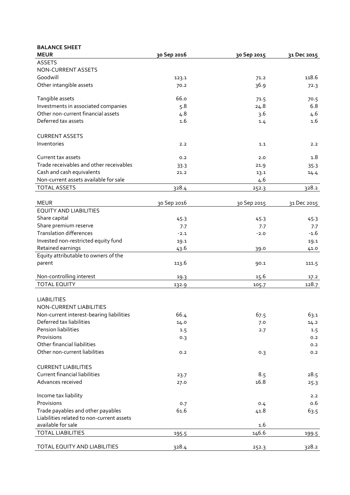| <b>BALANCE SHEET</b>                      |             |             |             |
|-------------------------------------------|-------------|-------------|-------------|
| <b>MEUR</b>                               | 30 Sep 2016 | 30 Sep 2015 | 31 Dec 2015 |
| <b>ASSETS</b>                             |             |             |             |
| NON-CURRENT ASSETS                        |             |             |             |
| Goodwill                                  | 123.1       | 71.2        | 118.6       |
| Other intangible assets                   | 70.2        | 36.9        | 72.3        |
| Tangible assets                           | 66.o        | 71.5        | 70.5        |
| Investments in associated companies       | 5.8         | 24.8        | 6.8         |
| Other non-current financial assets        | 4.8         | 3.6         | 4.6         |
| Deferred tax assets                       | 1.6         | 1.4         | 1.6         |
| <b>CURRENT ASSETS</b>                     |             |             |             |
| Inventories                               | 2.2         | 1.1         | 2.2         |
| Current tax assets                        | 0.2         | 2.0         | 1.8         |
| Trade receivables and other receivables   | 33.3        | 21.9        | 35.3        |
| Cash and cash equivalents                 | 21.2        | 13.1        | 14.4        |
| Non-current assets available for sale     |             | 4.6         |             |
| <b>TOTAL ASSETS</b>                       | 328.4       | 252.3       | 328.2       |
| <b>MEUR</b>                               | 30 Sep 2016 | 30 Sep 2015 | 31 Dec 2015 |
| <b>EQUITY AND LIABILITIES</b>             |             |             |             |
| Share capital                             | 45.3        | 45.3        | 45.3        |
| Share premium reserve                     | 7.7         | 7.7         | 7.7         |
| <b>Translation differences</b>            | $-2.1$      | $-2.0$      | $-1.6$      |
| Invested non-restricted equity fund       | 19.1        |             | 19.1        |
| Retained earnings                         | 43.6        | 39.0        | 41.0        |
| Equity attributable to owners of the      |             |             |             |
| parent                                    | 113.6       | 90.1        | 111.5       |
| Non-controlling interest                  | 19.3        | 15.6        | 17.2        |
| <b>TOTAL EQUITY</b>                       | 132.9       | 105.7       | 128.7       |
|                                           |             |             |             |
| <b>LIABILITIES</b>                        |             |             |             |
| NON-CURRENT LIABILITIES                   |             |             |             |
| Non-current interest-bearing liabilities  | 66.4        | 67.5        | 63.1        |
| Deferred tax liabilities                  | 14.0        | 7.0         | 14.2        |
| Pension liabilities                       | 1.5         | 2.7         | 1.5         |
| Provisions                                | 0.3         |             | 0.2         |
| Other financial liabilities               |             |             | 0.2         |
| Other non-current liabilities             | 0.2         | 0.3         | 0.2         |
| <b>CURRENT LIABILITIES</b>                |             |             |             |
| <b>Current financial liabilities</b>      | 23.7        | 8.5         | 28.5        |
| Advances received                         | 27.0        | 16.8        | 25.3        |
| Income tax liability                      |             |             | 2.2         |
| Provisions                                | 0.7         | 0.4         | 0.6         |
| Trade payables and other payables         | 61.6        | 41.8        | 63.5        |
| Liabilities related to non-current assets |             |             |             |
| available for sale                        |             | 1.6         |             |
| <b>TOTAL LIABILITIES</b>                  | 195.5       | 146.6       | 199.5       |
| TOTAL EQUITY AND LIABILITIES              | 328.4       | 252.3       | 328.2       |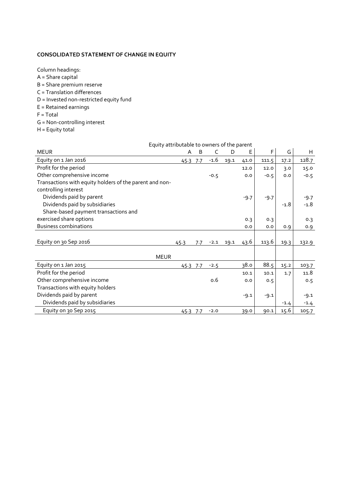#### **CONSOLIDATED STATEMENT OF CHANGE IN EQUITY**

Column headings:

- $A =$ Share capital
- B = Share premium reserve
- C = Translation differences
- D = Invested non-restricted equity fund
- E = Retained earnings
- F = Total
- G = Non-controlling interest
- H = Equity total

|                                                                                 | Equity attributable to owners of the parent |     |        |      |        |        |        |        |
|---------------------------------------------------------------------------------|---------------------------------------------|-----|--------|------|--------|--------|--------|--------|
| <b>MEUR</b>                                                                     | A                                           | B   | C      | D    | Е      | F      | G      | H      |
| Equity on 1 Jan 2016                                                            | 45-3 7-7                                    |     | $-1.6$ | 19.1 | 41.0   | 111.5  | 17.2   | 128.7  |
| Profit for the period                                                           |                                             |     |        |      | 12.0   | 12.0   | 3.0    | 15.0   |
| Other comprehensive income                                                      |                                             |     | $-0.5$ |      | 0.0    | $-0.5$ | 0.0    | $-0.5$ |
| Transactions with equity holders of the parent and non-<br>controlling interest |                                             |     |        |      |        |        |        |        |
| Dividends paid by parent                                                        |                                             |     |        |      | $-9.7$ | $-9.7$ |        | $-9.7$ |
| Dividends paid by subsidiaries                                                  |                                             |     |        |      |        |        | $-1.8$ | $-1.8$ |
| Share-based payment transactions and                                            |                                             |     |        |      |        |        |        |        |
| exercised share options                                                         |                                             |     |        |      | 0.3    | 0.3    |        | 0.3    |
| <b>Business combinations</b>                                                    |                                             |     |        |      | 0.0    | 0.0    | 0.9    | 0.9    |
|                                                                                 |                                             |     |        |      |        |        |        |        |
| Equity on 30 Sep 2016                                                           | 45.3                                        | 7.7 | $-2.1$ | 19.1 | 43.6   | 113.6  | 19.3   | 132.9  |
|                                                                                 |                                             |     |        |      |        |        |        |        |
| <b>MEUR</b>                                                                     |                                             |     |        |      |        |        |        |        |
| Equity on 1 Jan 2015                                                            | 45.3 7.7                                    |     | $-2.5$ |      | 38.0   | 88.5   | 15.2   | 103.7  |
| Profit for the period                                                           |                                             |     |        |      | 10.1   | 10.1   | 1.7    | 11.8   |
| Other comprehensive income                                                      |                                             |     | 0.6    |      | 0.0    | 0.5    |        | 0.5    |
| Transactions with equity holders                                                |                                             |     |        |      |        |        |        |        |
| Dividends paid by parent                                                        |                                             |     |        |      | $-9.1$ | $-9.1$ |        | $-9.1$ |
| Dividends paid by subsidiaries                                                  |                                             |     |        |      |        |        | $-1.4$ | $-1.4$ |
| Equity on 30 Sep 2015                                                           | 45.3 7.7                                    |     | $-2.0$ |      | 39.0   | 90.1   | 15.6   | 105.7  |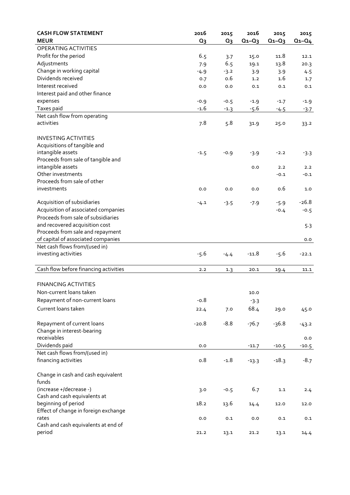| <b>CASH FLOW STATEMENT</b><br><b>MEUR</b>   | 2016<br>Q <sub>3</sub> | 2015<br>$Q_3$ | 2016<br>$Q_1 - Q_3$ | 2015<br>$Q_1 - Q_3$ | 2015<br>$Q_1 - Q_4$ |
|---------------------------------------------|------------------------|---------------|---------------------|---------------------|---------------------|
| OPERATING ACTIVITIES                        |                        |               |                     |                     |                     |
| Profit for the period                       | 6.5                    |               | 15.0                | 11.8                | 12.1                |
| Adjustments                                 | 7.9                    | 3.7<br>6.5    | 19.1                | 13.8                | 20.3                |
| Change in working capital                   |                        |               |                     |                     |                     |
| Dividends received                          | $-4.9$                 | $-3.2$<br>o.6 | 3.9<br>1.2          | 3.9<br>1.6          | 4.5                 |
| Interest received                           | 0.7                    | 0.0           | 0.1                 | 0.1                 | 1.7                 |
| Interest paid and other finance             | 0.0                    |               |                     |                     | 0.1                 |
|                                             |                        |               |                     |                     |                     |
| expenses<br>Taxes paid                      | $-0.9$                 | $-0.5$        | $-1.9$              | $-1.7$              | $-1.9$              |
| Net cash flow from operating                | $-1.6$                 | $-1.3$        | $-5.6$              | $-4.5$              | $-3.7$              |
| activities                                  | 7.8                    | 5.8           |                     |                     |                     |
|                                             |                        |               | 31.9                | 25.0                | 33.2                |
| <b>INVESTING ACTIVITIES</b>                 |                        |               |                     |                     |                     |
| Acquisitions of tangible and                |                        |               |                     |                     |                     |
| intangible assets                           | $-1.5$                 | $-0.9$        | $-3.9$              | $-2.2$              | $-3.3$              |
| Proceeds from sale of tangible and          |                        |               |                     |                     |                     |
| intangible assets                           |                        |               | 0.0                 | 2.2                 | 2.2                 |
| Other investments                           |                        |               |                     | $-0.1$              | $-0.1$              |
| Proceeds from sale of other                 |                        |               |                     |                     |                     |
| investments                                 | 0.0                    | 0.0           | 0.0                 | 0.6                 | 1.0                 |
| Acquisition of subsidiaries                 | $-4.1$                 | $-3.5$        | $-7.9$              | $-5.9$              | $-26.8$             |
| Acquisition of associated companies         |                        |               |                     | $-0.4$              | $-0.5$              |
| Proceeds from sale of subsidiaries          |                        |               |                     |                     |                     |
| and recovered acquisition cost              |                        |               |                     |                     | 5.3                 |
| Proceeds from sale and repayment            |                        |               |                     |                     |                     |
| of capital of associated companies          |                        |               |                     |                     | 0.0                 |
| Net cash flows from/(used in)               |                        |               |                     |                     |                     |
| investing activities                        | $-5.6$                 | $-4.4$        | $-11.8$             | $-5.6$              | $-22.1$             |
|                                             |                        |               |                     |                     |                     |
| Cash flow before financing activities       | 2.2                    | 1.3           | 20.1                | 19.4                | 11.1                |
| <b>FINANCING ACTIVITIES</b>                 |                        |               |                     |                     |                     |
| Non-current loans taken                     |                        |               | 10.0                |                     |                     |
| Repayment of non-current loans              | $-0.8$                 |               | $-3.3$              |                     |                     |
| Current loans taken                         | 22.4                   | 7.0           | 68.4                | 29.0                | 45.0                |
|                                             |                        |               |                     |                     |                     |
| Repayment of current loans                  | $-20.8$                | $-8.8$        | $-76.7$             | $-36.8$             | $-43.2$             |
| Change in interest-bearing                  |                        |               |                     |                     |                     |
| receivables                                 |                        |               |                     |                     | 0.0                 |
| Dividends paid                              | 0.0                    |               | $-11.7$             | $-10.5$             | $-10.5$             |
| Net cash flows from/(used in)               |                        |               |                     |                     |                     |
| financing activities                        | o.8                    | $-1.8$        | $-13.3$             | $-18.3$             | $-8.7$              |
| Change in cash and cash equivalent<br>funds |                        |               |                     |                     |                     |
| (increase +/decrease -)                     | 3.0                    | $-0.5$        | 6.7                 | 1.1                 | 2.4                 |
| Cash and cash equivalents at                |                        |               |                     |                     |                     |
| beginning of period                         | 18.2                   | 13.6          | 14.4                | 12.0                | 12.0                |
| Effect of change in foreign exchange        |                        |               |                     |                     |                     |
| rates                                       | 0.0                    | 0.1           | 0.0                 | 0.1                 | 0.1                 |
| Cash and cash equivalents at end of         |                        |               |                     |                     |                     |
| period                                      | 21.2                   | 13.1          | 21.2                | 13.1                | 14.4                |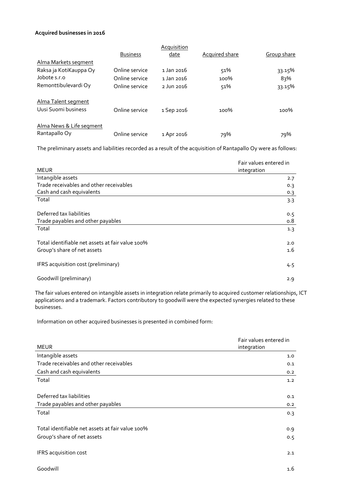#### **Acquired businesses in 2016**

|                          |                 | <b>Acquisition</b>    |                       |             |
|--------------------------|-----------------|-----------------------|-----------------------|-------------|
|                          | <b>Business</b> | date                  | <b>Acquired share</b> | Group share |
| Alma Markets segment     |                 |                       |                       |             |
| Raksa ja KotiKauppa Oy   | Online service  | $1 \text{ Jan } 2016$ | 51%                   | 33.15%      |
| Jobote s.r.o             | Online service  | 1 Jan 2016            | 100%                  | 83%         |
| Remonttibulevardi Oy     | Online service  | $2$ Jun $2016$        | 51%                   | 33.15%      |
| Alma Talent segment      |                 |                       |                       |             |
| Uusi Suomi business      | Online service  | 1 Sep 2016            | $100\%$               | 100%        |
| Alma News & Life segment |                 |                       |                       |             |
| Rantapallo Oy            | Online service  | 1 Apr 2016            | 79%                   | 79%         |

The preliminary assets and liabilities recorded as a result of the acquisition of Rantapallo Oy were as follows:

| <b>MEUR</b>                                      | Fair values entered in<br>integration |
|--------------------------------------------------|---------------------------------------|
| Intangible assets                                | 2.7                                   |
| Trade receivables and other receivables          | 0.3                                   |
| Cash and cash equivalents                        | 0.3                                   |
| Total                                            | 3.3                                   |
| Deferred tax liabilities                         | 0.5                                   |
| Trade payables and other payables                | 0.8                                   |
| Total                                            | 1.3                                   |
| Total identifiable net assets at fair value 100% | 2.0                                   |
| Group's share of net assets                      | 1.6                                   |
| IFRS acquisition cost (preliminary)              | 4.5                                   |
| Goodwill (preliminary)                           | 2.9                                   |

The fair values entered on intangible assets in integration relate primarily to acquired customer relationships, ICT applications and a trademark. Factors contributory to goodwill were the expected synergies related to these businesses.

Information on other acquired businesses is presented in combined form:

| <b>MEUR</b>                                      | Fair values entered in<br>integration |
|--------------------------------------------------|---------------------------------------|
| Intangible assets                                | 1.0                                   |
| Trade receivables and other receivables          | 0.1                                   |
| Cash and cash equivalents                        | 0.2                                   |
| Total                                            | 1.2                                   |
| Deferred tax liabilities                         | 0.1                                   |
| Trade payables and other payables                | 0.2                                   |
| Total                                            | 0.3                                   |
| Total identifiable net assets at fair value 100% | 0.9                                   |
| Group's share of net assets                      | 0.5                                   |
| IFRS acquisition cost                            | 2.1                                   |
| Goodwill                                         | 1.6                                   |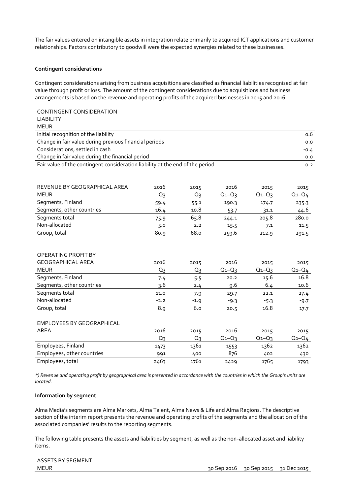The fair values entered on intangible assets in integration relate primarily to acquired ICT applications and customer relationships. Factors contributory to goodwill were the expected synergies related to these businesses.

## **Contingent considerations**

Contingent considerations arising from business acquisitions are classified as financial liabilities recognised at fair value through profit or loss. The amount of the contingent considerations due to acquisitions and business arrangements is based on the revenue and operating profits of the acquired businesses in 2015 and 2016.

| CONTINGENT CONSIDERATION                                                      |        |        |             |             |             |
|-------------------------------------------------------------------------------|--------|--------|-------------|-------------|-------------|
| <b>LIABILITY</b>                                                              |        |        |             |             |             |
| <b>MEUR</b>                                                                   |        |        |             |             |             |
| Initial recognition of the liability                                          |        |        |             |             | 0.6         |
| Change in fair value during previous financial periods                        |        |        |             |             | 0.0         |
| Considerations, settled in cash                                               |        |        |             |             | $-0.4$      |
| Change in fair value during the financial period                              |        |        |             |             | 0.0         |
| Fair value of the contingent consideration liability at the end of the period |        |        |             |             | 0.2         |
|                                                                               |        |        |             |             |             |
|                                                                               |        |        |             |             |             |
| REVENUE BY GEOGRAPHICAL AREA                                                  | 2016   | 2015   | 2016        | 2015        | 2015        |
| <b>MEUR</b>                                                                   | $Q_3$  | $Q_3$  | $Q_1 - Q_3$ | $Q_1 - Q_3$ | $Q_1 - Q_4$ |
| Segments, Finland                                                             | 59.4   | 55.1   | 190.3       | 174.7       | 235.3       |
| Segments, other countries                                                     | 16.4   | 10.8   | 53.7        | 31.1        | 44.6        |
| Segments total                                                                | 75.9   | 65.8   | 244.1       | 205.8       | 280.0       |
| Non-allocated                                                                 | 5.0    | 2.2    | 15.5        | 7.1         | 11.5        |
| Group, total                                                                  | 80.9   | 68.o   | 259.6       | 212.9       | 291.5       |
|                                                                               |        |        |             |             |             |
|                                                                               |        |        |             |             |             |
| OPERATING PROFIT BY                                                           |        |        |             |             |             |
| <b>GEOGRAPHICAL AREA</b>                                                      | 2016   | 2015   | 2016        | 2015        | 2015        |
| <b>MEUR</b>                                                                   | Q3     | Q3     | $Q_1 - Q_3$ | $Q_1 - Q_3$ | $Q_1 - Q_4$ |
| Segments, Finland                                                             | 7.4    | 5.5    | 20.2        | 15.6        | 16.8        |
| Segments, other countries                                                     | 3.6    | 2.4    | 9.6         | 6.4         | 10.6        |
| Segments total                                                                | 11.0   | 7.9    | 29.7        | 22.1        | 27.4        |
| Non-allocated                                                                 | $-2.2$ | $-1.9$ | $-9.3$      | $-5.3$      | $-9.7$      |
| Group, total                                                                  | 8.9    | 6.0    | 20.5        | 16.8        | 17.7        |
|                                                                               |        |        |             |             |             |
| <b>EMPLOYEES BY GEOGRAPHICAL</b>                                              |        |        |             |             |             |
| <b>AREA</b>                                                                   | 2016   | 2015   | 2016        | 2015        | 2015        |
|                                                                               | Qз     | $Q_3$  | $Q_1 - Q_3$ | $Q_1 - Q_3$ | $Q_1 - Q_4$ |
| Employees, Finland                                                            | 1473   | 1361   | 1553        | 1362        | 1362        |
| Employees, other countries                                                    | 991    | 400    | 876         | 402         | 430         |
| Employees, total                                                              | 2463   | 1761   | 2429        | 1765        | 1793        |
|                                                                               |        |        |             |             |             |

*\*) Revenue and operating profit by geographical area is presented in accordance with the countries in which the Group's units are located.*

#### **Information by segment**

Alma Media's segments are Alma Markets, Alma Talent, Alma News & Life and Alma Regions. The descriptive section of the interim report presents the revenue and operating profits of the segments and the allocation of the associated companies' results to the reporting segments.

The following table presents the assets and liabilities by segment, as well as the non-allocated asset and liability items.

ASSETS BY SEGMENT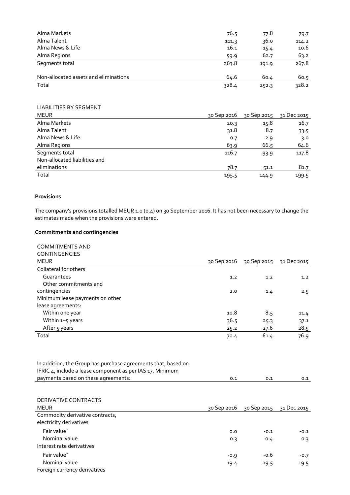| Alma Markets                          | 76.5  | 77.8  | 79.7  |
|---------------------------------------|-------|-------|-------|
| Alma Talent                           | 111.3 | 36.0  | 114.2 |
| Alma News & Life                      | 16.1  | 15.4  | 10.6  |
| Alma Regions                          | 59.9  | 62.7  | 63.2  |
| Segments total                        | 263.8 | 191.9 | 267.8 |
| Non-allocated assets and eliminations | 64.6  | 60.4  | 60.5  |
| Total                                 | 328.4 | 252.3 | 328.2 |

# LIABILITIES BY SEGMENT

| <b>MEUR</b>                   | 30 Sep 2016 | 30 Sep 2015 | ว1 Dec 2015 |
|-------------------------------|-------------|-------------|-------------|
| Alma Markets                  | 20.3        | 15.8        | 16.7        |
| Alma Talent                   | 31.8        | 8.7         | 33.5        |
| Alma News & Life              | 0.7         | 2.9         | 3.0         |
| Alma Regions                  | 63.9        | 66.5        | 64.6        |
| Segments total                | 116.7       | 93.9        | 117.8       |
| Non-allocated liabilities and |             |             |             |
| eliminations                  | 78.7        | 51.1        | 81.7        |
| Total                         | 195.5       | 144.9       | 199.5       |

# **Provisions**

The company's provisions totalled MEUR 1.0 (0.4) on 30 September 2016. It has not been necessary to change the estimates made when the provisions were entered.

# **Commitments and contingencies**

| <b>COMMITMENTS AND</b><br><b>CONTINGENCIES</b> |             |             |             |
|------------------------------------------------|-------------|-------------|-------------|
| <b>MEUR</b>                                    | 30 Sep 2016 | 30 Sep 2015 | 31 Dec 2015 |
| Collateral for others                          |             |             |             |
| Guarantees                                     | 1.2         | 1.2         | 1.2         |
| Other commitments and                          |             |             |             |
| contingencies                                  | 2.0         | 1.4         | 2.5         |
| Minimum lease payments on other                |             |             |             |
| lease agreements:                              |             |             |             |
| Within one year                                | 10.8        | 8.5         | 11.4        |
| Within 1-5 years                               | 36.5        | 25.3        | 37.1        |
| After 5 years                                  | 25.2        | 27.6        | 28.5        |
| Total                                          | 70.4        | 61.4        | 76.9        |
|                                                |             |             |             |

| In addition, the Group has purchase agreements that, based on |     |     |     |
|---------------------------------------------------------------|-----|-----|-----|
| IFRIC 4, include a lease component as per IAS 17. Minimum     |     |     |     |
| payments based on these agreements:                           | 0.1 | 0.1 | 0.1 |

| DERIVATIVE CONTRACTS<br><b>MEUR</b>                        | 30 Sep 2016 | 30 Sep 2015 | 31 Dec 2015 |
|------------------------------------------------------------|-------------|-------------|-------------|
| Commodity derivative contracts,<br>electricity derivatives |             |             |             |
| Fair value*                                                | 0.0         | $-0.1$      | $-0.1$      |
| Nominal value<br>Interest rate derivatives                 | 0.3         | 0.4         | 0.3         |
| Fair value*                                                | $-0.9$      | $-0.6$      | $-0.7$      |
| Nominal value<br>Foreign currency derivatives              | 19.4        | 19.5        | 19.5        |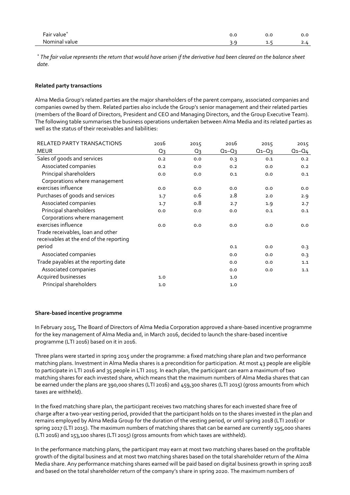| Fair value    |   |   | ັ. |
|---------------|---|---|----|
| Nominal value | - | . |    |

*\* The fair value represents the return that would have arisen if the derivative had been cleared on the balance sheet date.*

#### **Related party transactions**

Alma Media Group's related parties are the major shareholders of the parent company, associated companies and companies owned by them. Related parties also include the Group's senior management and their related parties (members of the Board of Directors, President and CEO and Managing Directors, and the Group Executive Team). The following table summarises the business operations undertaken between Alma Media and its related parties as well as the status of their receivables and liabilities:

| RELATED PARTY TRANSACTIONS              | 2016  | 2015  | 2016        | 2015        | 2015  |
|-----------------------------------------|-------|-------|-------------|-------------|-------|
| <b>MEUR</b>                             | $Q_3$ | $Q_3$ | $Q_1 - Q_3$ | $Q_1 - Q_3$ | Q1-Q4 |
| Sales of goods and services             | 0.2   | 0.0   | 0.3         | 0.1         | 0.2   |
| Associated companies                    | 0.2   | 0.0   | 0.2         | 0.0         | 0.2   |
| Principal shareholders                  | 0.0   | 0.0   | 0.1         | 0.0         | 0.1   |
| Corporations where management           |       |       |             |             |       |
| exercises influence                     | 0.0   | 0.0   | 0.0         | 0.0         | 0.0   |
| Purchases of goods and services         | 1.7   | 0.6   | 2.8         | 2.0         | 2.9   |
| Associated companies                    | 1.7   | 0.8   | 2.7         | 1.9         | 2.7   |
| Principal shareholders                  | 0.0   | 0.0   | 0.0         | 0.1         | 0.1   |
| Corporations where management           |       |       |             |             |       |
| exercises influence                     | 0.0   | 0.0   | 0.0         | 0.0         | 0.0   |
| Trade receivables, loan and other       |       |       |             |             |       |
| receivables at the end of the reporting |       |       |             |             |       |
| period                                  |       |       | 0.1         | 0.0         | 0.3   |
| Associated companies                    |       |       | 0.0         | 0.0         | 0.3   |
| Trade payables at the reporting date    |       |       | 0.0         | 0.0         | 1.1   |
| Associated companies                    |       |       | 0.0         | 0.0         | 1.1   |
| Acquired businesses                     | 1.0   |       | 1.0         |             |       |
| Principal shareholders                  | 1.0   |       | 1.0         |             |       |

#### **Share-based incentive programme**

In February 2015, The Board of Directors of Alma Media Corporation approved a share-based incentive programme for the key management of Alma Media and, in March 2016, decided to launch the share-based incentive programme (LTI 2016) based on it in 2016.

Three plans were started in spring 2015 under the programme: a fixed matching share plan and two performance matching plans. Investment in Alma Media shares is a precondition for participation. At most 43 people are eligible to participate in LTI 2016 and 35 people in LTI 2015. In each plan, the participant can earn a maximum of two matching shares for each invested share, which means that the maximum numbers of Alma Media shares that can be earned under the plans are 390,000 shares (LTI 2016) and 459,300 shares (LTI 2015) (gross amounts from which taxes are withheld).

In the fixed matching share plan, the participant receives two matching shares for each invested share free of charge after a two-year vesting period, provided that the participant holds on to the shares invested in the plan and remains employed by Alma Media Group for the duration of the vesting period, or until spring 2018 (LTI 2016) or spring 2017 (LTI 2015). The maximum numbers of matching shares that can be earned are currently 195,000 shares (LTI 2016) and 153,100 shares (LTI 2015) (gross amounts from which taxes are withheld).

In the performance matching plans, the participant may earn at most two matching shares based on the profitable growth of the digital business and at most two matching shares based on the total shareholder return of the Alma Media share. Any performance matching shares earned will be paid based on digital business growth in spring 2018 and based on the total shareholder return of the company's share in spring 2020. The maximum numbers of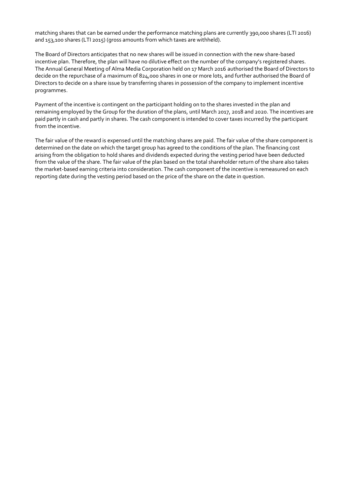matching shares that can be earned under the performance matching plans are currently 390,000 shares (LTI 2016) and 153,100 shares (LTI 2015) (gross amounts from which taxes are withheld).

The Board of Directors anticipates that no new shares will be issued in connection with the new share-based incentive plan. Therefore, the plan will have no dilutive effect on the number of the company's registered shares. The Annual General Meeting of Alma Media Corporation held on 17 March 2016 authorised the Board of Directors to decide on the repurchase of a maximum of 824,000 shares in one or more lots, and further authorised the Board of Directors to decide on a share issue by transferring shares in possession of the company to implement incentive programmes.

Payment of the incentive is contingent on the participant holding on to the shares invested in the plan and remaining employed by the Group for the duration of the plans, until March 2017, 2018 and 2020. The incentives are paid partly in cash and partly in shares. The cash component is intended to cover taxes incurred by the participant from the incentive.

The fair value of the reward is expensed until the matching shares are paid. The fair value of the share component is determined on the date on which the target group has agreed to the conditions of the plan. The financing cost arising from the obligation to hold shares and dividends expected during the vesting period have been deducted from the value of the share. The fair value of the plan based on the total shareholder return of the share also takes the market-based earning criteria into consideration. The cash component of the incentive is remeasured on each reporting date during the vesting period based on the price of the share on the date in question.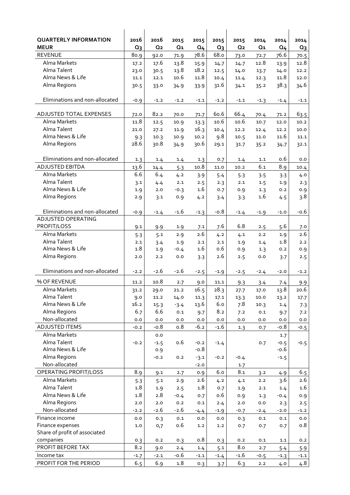| <b>QUARTERLY INFORMATION</b><br><b>MEUR</b> | 2016<br>$Q_3$ | 2016<br>Q <sub>2</sub> | 2015<br>Q <sub>1</sub> | 2015<br>Q <sub>4</sub> | 2015<br>Q <sub>3</sub> | 2015<br>Q <sub>2</sub> | 2014<br>$Q_1$ | 2014<br>Q <sub>4</sub> | 2014<br>$Q_3$ |
|---------------------------------------------|---------------|------------------------|------------------------|------------------------|------------------------|------------------------|---------------|------------------------|---------------|
| <b>REVENUE</b>                              | 80.9          | 92.0                   | 71.9                   | 78.6                   | 68.0                   | 73.0                   | 72.7          | 76.6                   | 70.5          |
| Alma Markets                                | 17.2          | 17.6                   | 13.8                   | 15.9                   | 14.7                   | 14.7                   | 12.8          | 13.9                   | 12.8          |
| Alma Talent                                 | 23.0          | 30.5                   | 13.8                   | 18.2                   | 12.5                   | 14.0                   | 13.7          | 14.0                   | 12.2          |
| Alma News & Life                            | 11.1          | 12.1                   | 10.6                   | 11.8                   | 10.4                   | 11.4                   | 12.3          | 11.8                   | 12.0          |
| Alma Regions                                | 30.5          | 33.0                   | 34.9                   | 33.9                   | 31.6                   | 34.1                   | 35.2          | 38.3                   | 34.6          |
|                                             |               |                        |                        |                        |                        |                        |               |                        |               |
| Eliminations and non-allocated              | $-0.9$        | $-1.2$                 | $-1.2$                 | $-1.1$                 | $-1.2$                 | $-1.1$                 | $-1.3$        | $-1.4$                 | $-1.1$        |
| ADJUSTED TOTAL EXPENSES                     | 72.0          | 82.2                   | 70.0                   | 71.7                   | 60.6                   | 66.4                   | 70.4          | 71.2                   | 63.5          |
| Alma Markets                                | 11.8          | 12.5                   | 10.9                   | 13.3                   | 10.6                   | 10.6                   | 10.7          | 12.0                   | 10.2          |
| Alma Talent                                 | 21.0          | 27.2                   | 11.9                   | 16.3                   | 10.4                   | 12.2                   | 12.4          | 12.2                   | 10.0          |
| Alma News & Life                            | 9.3           | 10.3                   | 10.9                   | 10.2                   | 9.8                    | 10.5                   | 11.0          | 11.6                   | 11.1          |
| Alma Regions                                | 28.6          | 30.8                   | 34.9                   | 30.6                   | 29.1                   | 31.7                   | 35.2          | 34.7                   | 32.1          |
|                                             |               |                        |                        |                        |                        |                        |               |                        |               |
| Eliminations and non-allocated              | 1.3           | 1.4                    | 1.4                    | 1.3                    | 0.7                    | 1.4                    | 1.1           | 0.6                    | 0.0           |
| ADJUSTED EBITDA                             | 13.6          | 14.4                   | 5.3                    | 10.8                   | 11.0                   | 10.2                   | 6.1           | 8.9                    | 10.4          |
| Alma Markets                                | 6.6           | 6.4                    | 4.2                    | 3.9                    | 5.4                    | 5.3                    | 3.5           | 3.3                    | 4.0           |
| Alma Talent                                 | 3.1           | 4.4                    | 2.1                    | 2.5                    | 2.3                    | 2.1                    | 1.5           | 1.9                    | 2.3           |
| Alma News & Life                            | 1.9           | 2.0                    | $-0.3$                 | 1.6                    | 0.7                    | 0.9                    | 1.3           | 0.2                    | 0.9           |
| Alma Regions                                | 2.9           | 3.1                    | 0.9                    | 4.2                    | 3.4                    | 3.3                    | 1.6           | 4.5                    | 3.8           |
| Eliminations and non-allocated              | $-0.9$        | $-1.4$                 | $-1.6$                 | $-1.3$                 | $-0.8$                 | $-1.4$                 | $-1.9$        | $-1.0$                 | -0.6          |
| <b>ADJUSTED OPERATING</b>                   |               |                        |                        |                        |                        |                        |               |                        |               |
| PROFIT/LOSS                                 | 9.1           | 9.9                    | 1.9                    | 7.1                    | 7.6                    | 6.8                    | 2.5           | 5.6                    | 7.0           |
| Alma Markets                                | 5.3           | 5.1                    | 2.9                    | 2.6                    | 4.2                    | 4.1                    | 2.2           | 1.9                    | 2.6           |
| Alma Talent                                 | 2.1           | 3.4                    | 1.9                    | 2.1                    | 2.1                    | 1.9                    | 1.4           | 1.8                    | 2.2           |
| Alma News & Life                            | 1.8           | 1.9                    | $-0.4$                 | 1.6                    | 0.6                    | 0.9                    | 1.3           | 0.2                    | 0.9           |
| Alma Regions                                | 2.0           | 2.2                    | 0.0                    | 3.3                    | 2.6                    | 2.5                    | 0.0           | 3.7                    | 2.5           |
|                                             |               |                        |                        |                        |                        |                        |               |                        |               |
| Eliminations and non-allocated              | $-2.2$        | $-2.6$                 | $-2.6$                 | $-2.5$                 | $-1.9$                 | $-2.5$                 | $-2.4$        | $-2.0$                 | $-1.2$        |
| % OF REVENUE                                | 11.2          | 10.8                   | 2.7                    | 9.0                    | 11.1                   | 9.3                    | 3.4           | 7.4                    | 9.9           |
| Alma Markets                                | 31.2          | 29.0                   | 21.2                   | 16.5                   | 28.3                   | 27.7                   | 17.0          | 13.8                   | 20.6          |
| Alma Talent                                 | 9.0           | 11.2                   | 14.0                   | 11.3                   | 17.1                   | 13.3                   | 10.0          | 13.2                   | 17.7          |
| Alma News & Life                            | 16.2          | 15.3                   | $-3.4$                 | 13.6                   | 6.0                    | 7.8                    | 10.3          | 1.4                    | 7.3           |
| Alma Regions                                | 6.7           | 6.6                    | 0.1                    | 9.7                    | 8.2                    | 7.2                    | 0.1           | 9.7                    | 7.2           |
| Non-allocated                               | 0.0           | 0.0                    | 0.0                    | $_{0.0}$               | 0.0                    | 0.0                    | 0.0           | 0.0                    | 0.0           |
| <b>ADJUSTED ITEMS</b>                       | $-0.2$        | $-0.8$                 | 0.8                    | $-6.2$                 | $-1.6$                 | 1.3                    | 0.7           | $-0.8$                 | $-0.5$        |
| Alma Markets                                |               | 0.0                    |                        |                        |                        |                        |               | 1.7                    |               |
| Alma Talent                                 | $-0.2$        | $-1.5$                 | o.6                    | $-0.2$                 | $-1.4$                 |                        | 0.7           | $-0.5$                 | $-0.5$        |
| Alma News & Life                            |               | 0.9                    |                        | $-0.8$                 |                        |                        |               | $-0.6$                 |               |
| Alma Regions                                |               | $-0.2$                 | 0.2                    | $-3.1$                 | $-0.2$                 | $-0.4$                 |               | $-1.5$                 |               |
| Non-allocated                               |               |                        |                        | $-2.0$                 |                        | 1.7                    |               |                        |               |
| OPERATING PROFIT/LOSS                       | 8.9           | 9.1                    | 2.7                    | 0.9                    | 6.0                    | 8.1                    | 3.2           | 4.9                    | 6.5           |
| Alma Markets<br>Alma Talent                 | 5.3<br>1.8    | 5.1                    | 2.9                    | 2.6<br>1.8             | 4.2                    | 4.1                    | 2.2           | 3.6                    | 2.6<br>1.6    |
| Alma News & Life                            | 1.8           | 1.9<br>2.8             | 2.5                    |                        | 0.7<br>0.6             | 1.9                    | 2.1           | 1.4                    |               |
| Alma Regions                                | 2.0           | 2.0                    | $-0.4$<br>0.2          | 0.7<br>0.1             |                        | 0.9<br>$2.0$           | 1.3<br>0.0    | $-0.4$                 | 0.9           |
| Non-allocated                               | $-2.2$        | $-2.6$                 | $-2.6$                 | $-4.4$                 | 2.4<br>$-1.9$          | $-0.7$                 | $-2.4$        | 2.3<br>$-2.0$          | 2.5<br>$-1.2$ |
| Finance income                              | 0.0           | 0.3                    | 0.1                    | 0.0                    | 0.0                    | 0.3                    | 0.1           | 0.1                    | 0.0           |
| Finance expenses                            | 1.0           | 0,7                    | 0.6                    | 1.2                    | 1.2                    | 0.7                    | 0.7           | 0.7                    | 0.8           |
| Share of profit of associated               |               |                        |                        |                        |                        |                        |               |                        |               |
| companies                                   | 0.3           | 0.2                    | 0.3                    | 0.8                    | 0.3                    | 0.2                    | 0.1           | 1.1                    | 0.2           |
| PROFIT BEFORE TAX                           | 8.2           | 9.0                    | 2.4                    | 1.4                    | 5.1                    | 8.0                    | 2.7           | 5.4                    | 5.9           |
| Income tax                                  | $-1.7$        | $-2.1$                 | -0.6                   | $-1.1$                 | $-1.4$                 | $-1.6$                 | $-0.5$        | $-1.3$                 | $-1.1$        |
| PROFIT FOR THE PERIOD                       | 6.5           | 6.9                    | 1.8                    | 0.3                    | 3.7                    | 6.3                    | 2.2           | 4.0                    | 4.8           |